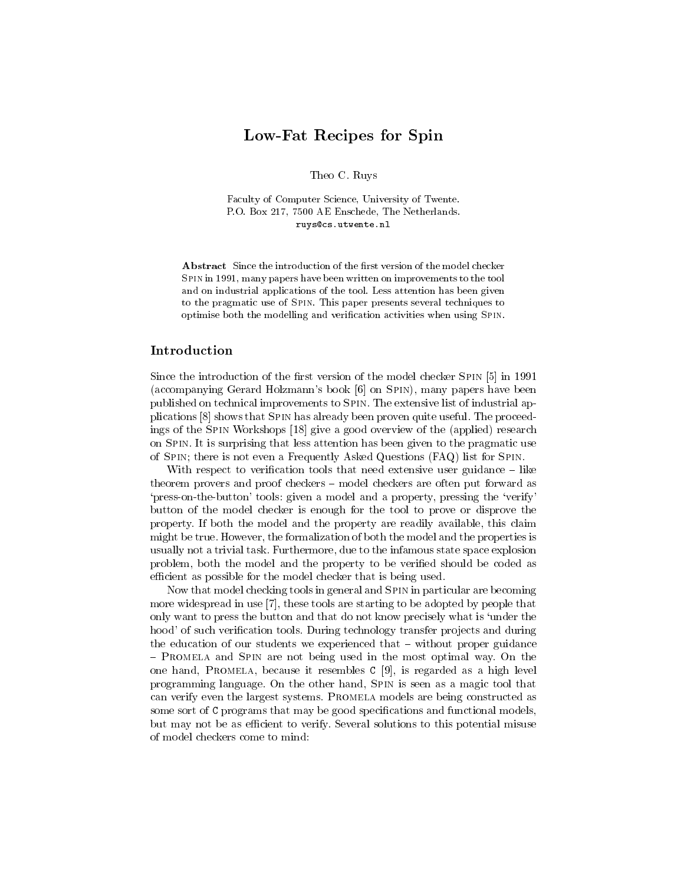# Low-Fat Recipes for Spin

Theo C. Ruys

Faculty of Computer Science, University of Twente. P.O. Box 217, 7500 AE Enschede, The Netherlands. ruys@cs.utwente.nl

Abstract Since the introduction of the first version of the model checker Spin in 1991, many papers have been written on improvements to the tool and on industrial applications of the tool. Less attention has been given to the pragmatic use of Spin. This paper presents several techniques to optimise both the modelling and verication activities when using Spin.

# Introduction

Since the introduction of the first version of the model checker SPIN [5] in 1991 (accompanying Gerard Holzmann's book [6] on Spin), many papers have been published on technical improvements to Spin. The extensive list of industrial applications [8] shows that Spin has already been proven quite useful. The proceedings of the Spin Workshops [18] give a good overview of the (applied) research on Spin. It is surprising that less attention has been given to the pragmatic use of Spin; there is not even a Frequently Asked Questions (FAQ) list for Spin.

With respect to verification tools that need extensive user guidance  $-$  like theorem provers and proof checkers – model checkers are often put forward as `press-on-the-button' tools: given a model and a property, pressing the `verify' button of the model checker is enough for the tool to prove or disprove the property. If both the model and the property are readily available, this claim might be true. However, the formalization of both the model and the properties is usually not a trivial task. Furthermore, due to the infamous state space explosion problem, both the model and the property to be veried should be coded as efficient as possible for the model checker that is being used.

Now that model checking tools in general and Spin in particular are becoming more widespread in use [7], these tools are starting to be adopted by people that only want to press the button and that do not know precisely what is `under the hood' of such verification tools. During technology transfer projects and during the education of our students we experienced that  $-$  without proper guidance { Promela and Spin are not being used in the most optimal way. On the one hand, PROMELA, because it resembles  $C$  [9], is regarded as a high level programming language. On the other hand, Spin is seen as a magic tool that can verify even the largest systems. Promela models are being constructed as some sort of C programs that may be good specifications and functional models, but may not be as efficient to verify. Several solutions to this potential misuse of model checkers come to mind: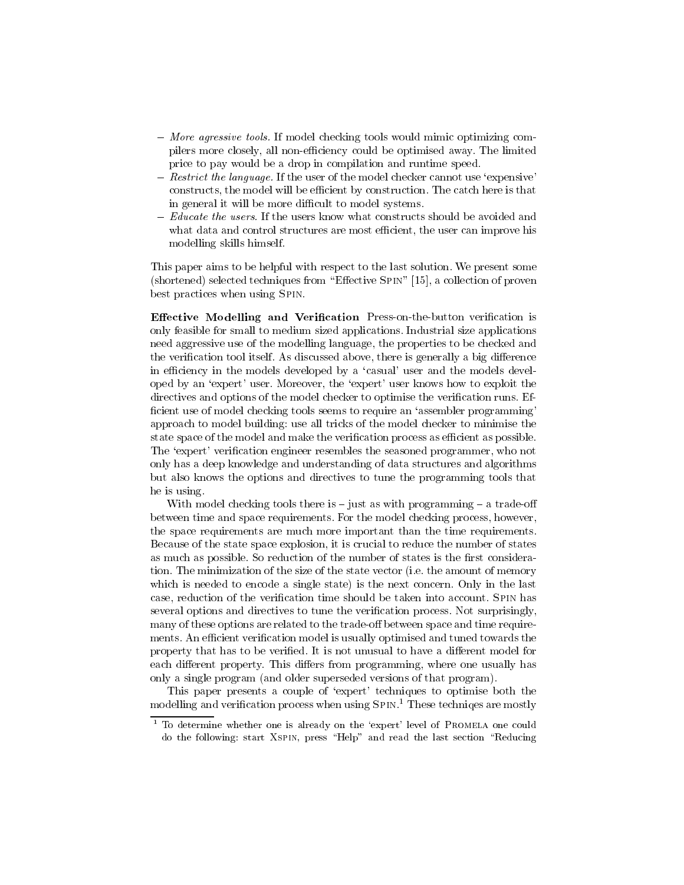- More agressive tools. If model checking tools would mimic optimizing compilers more closely, all non-efficiency could be optimised away. The limited price to pay would be a drop in compilation and runtime speed.
- *Restrict the language.* If the user of the model checker cannot use 'expensive' constructs, the model will be efficient by construction. The catch here is that in general it will be more difficult to model systems.
- ${ -$  Educate the users. If the users know what constructs should be avoided and what data and control structures are most efficient, the user can improve his modelling skills himself.

This paper aims to be helpful with respect to the last solution. We present some (shortened) selected techniques from "Effective SPIN" [15], a collection of proven best practices when using Spin.

**Effective Modelling and Verification** Press-on-the-button verification is only feasible for small to medium sized applications. Industrial size applications need aggressive use of the modelling language, the properties to be checked and the verification tool itself. As discussed above, there is generally a big difference in efficiency in the models developed by a 'casual' user and the models developed by an `expert' user. Moreover, the `expert' user knows how to exploit the directives and options of the model checker to optimise the verification runs. Efficient use of model checking tools seems to require an 'assembler programming' approach to model building: use all tricks of the model checker to minimise the state space of the model and make the verification process as efficient as possible. The 'expert' verification engineer resembles the seasoned programmer, who not only has a deep knowledge and understanding of data structures and algorithms but also knows the options and directives to tune the programming tools that he is using.

With model checking tools there is  $-$  just as with programming  $-$  a trade-off between time and space requirements. For the model checking process, however, the space requirements are much more important than the time requirements. Because of the state space explosion, it is crucial to reduce the number of states as much as possible. So reduction of the number of states is the first consideration. The minimization of the size of the state vector (i.e. the amount of memory which is needed to encode a single state) is the next concern. Only in the last case, reduction of the verification time should be taken into account. SPIN has several options and directives to tune the verification process. Not surprisingly, many of these options are related to the trade-off between space and time requirements. An efficient verification model is usually optimised and tuned towards the property that has to be verified. It is not unusual to have a different model for each different property. This differs from programming, where one usually has only a single program (and older superseded versions of that program).

This paper presents a couple of `expert' techniques to optimise both the modelling and verification process when using  $SPIN<sup>1</sup>$  These techniqes are mostly

<sup>1</sup> To determine whether one is already on the `expert' level of Promela one could do the following: start XsPIN, press "Help" and read the last section "Reducing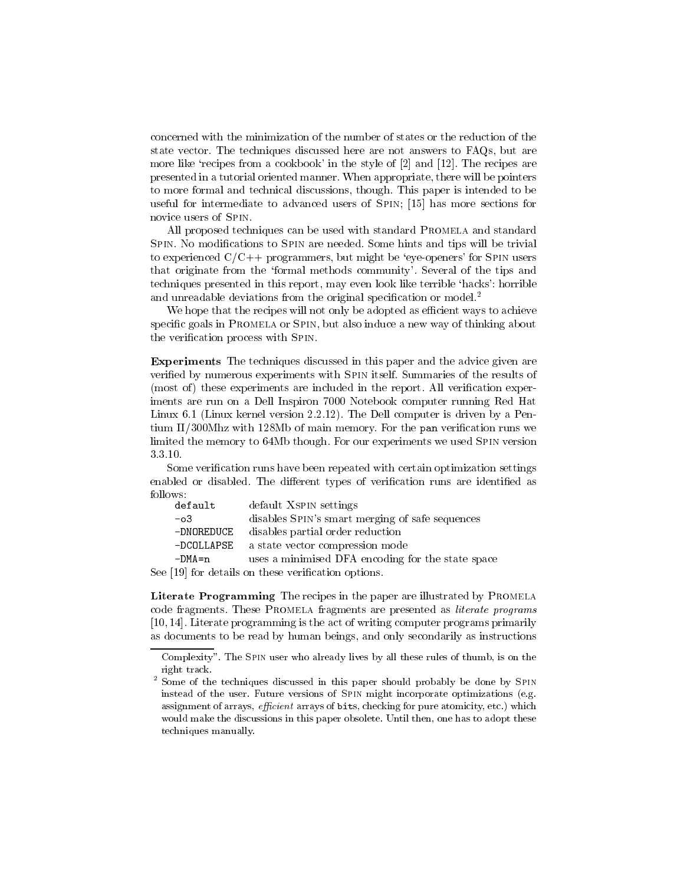concerned with the minimization of the number of states or the reduction of the state vector. The techniques discussed here are not answers to FAQs, but are more like 'recipes from a cookbook' in the style of  $[2]$  and  $[12]$ . The recipes are presented in a tutorial oriented manner. When appropriate, there will be pointers to more formal and technical discussions, though. This paper is intended to be useful for intermediate to advanced users of Spin; [15] has more sections for novice users of SPIN.

All proposed techniques can be used with standard Promela and standard Spin. No modications to Spin are needed. Some hints and tips will be trivial to experienced  $C/C++$  programmers, but might be 'eye-openers' for SPIN users that originate from the 'formal methods community'. Several of the tips and techniques presented in this report, may even look like terrible `hacks': horrible and unreadable deviations from the original specification or model.<sup>2</sup>

We hope that the recipes will not only be adopted as efficient ways to achieve specific goals in PROMELA or SPIN, but also induce a new way of thinking about the verification process with SPIN.

Experiments The techniques discussed in this paper and the advice given are veried by numerous experiments with Spin itself. Summaries of the results of (most of) these experiments are included in the report. All verification experiments are run on a Dell Inspiron 7000 Notebook computer running Red Hat Linux 6.1 (Linux kernel version 2.2.12). The Dell computer is driven by a Pentium II/300Mhz with 128Mb of main memory. For the pan verication runs we limited the memory to 64Mb though. For our experiments we used Spin version

Some verification runs have been repeated with certain optimization settings enabled or disabled. The different types of verification runs are identified as

| default    | default XSPIN settings                            |
|------------|---------------------------------------------------|
| -03.       | disables SPIN's smart merging of safe sequences   |
| -DNOREDUCE | disables partial order reduction                  |
| -DCOLLAPSE | a state vector compression mode                   |
| -DMA=n     | uses a minimised DFA encoding for the state space |
|            |                                                   |

See [19] for details on these verification options.

Literate Programming The recipes in the paper are illustrated by PROMELA code fragments. These PROMELA fragments are presented as *literate programs* [10, 14]. Literate programming is the act of writing computer programs primarily as documents to be read by human beings, and only secondarily as instructions

Complexity". The SPIN user who already lives by all these rules of thumb, is on the right track.

<sup>2</sup> Some of the techniques discussed in this paper should probably be done by Spin instead of the user. Future versions of Spin might incorporate optimizations (e.g. assignment of arrays, *efficient* arrays of bits, checking for pure atomicity, etc.) which would make the discussions in this paper obsolete. Until then, one has to adopt these techniques manually.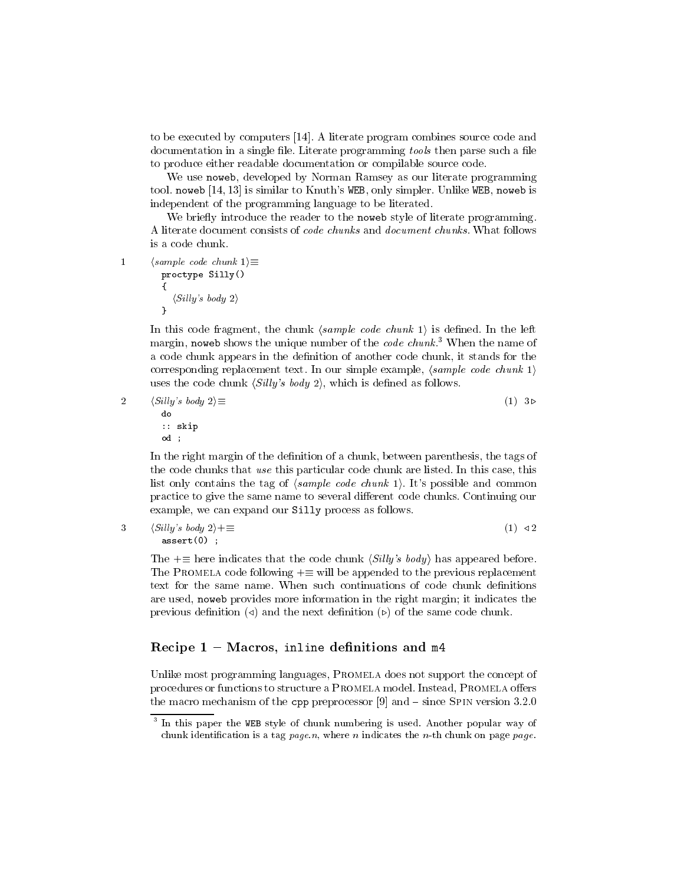to be executed by computers [14]. A literate program combines source code and documentation in a single file. Literate programming *tools* then parse such a file to produce either readable documentation or compilable source code.

We use noweb, developed by Norman Ramsey as our literate programming tool. noweb [14, 13] is similar to Knuth's WEB, only simpler. Unlike WEB, noweb is independent of the programming language to be literated.

We briefly introduce the reader to the noweb style of literate programming. A literate document consists of *code chunks* and *document chunks*. What follows is a code chunk.

1 (sample code chunk 1) $\equiv$ proctype Silly() {  $\langle Silly's\ body\ 2 \rangle$ 

}

In this code fragment, the chunk  $\langle \mathit{sample \ code \ chunk} 1 \rangle$  is defined. In the left margin, noweb shows the unique number of the *code chunk*.<sup>3</sup> When the name of a code chunk appears in the definition of another code chunk, it stands for the corresponding replacement text. In our simple example,  $\langle sample\ code\ chunk\ 1\rangle$ uses the code chunk  $\langle Silly's\ body\ 2\rangle$ , which is defined as follows.

$$
\langle Silly's\ body\ 2 \rangle \equiv
$$

do

$$
\langle Silly's\ body\ 2 \rangle \equiv
$$
\n
$$
\begin{array}{c}\n\langle Silly's\ body\ 2 \rangle \equiv \\
\phi & \phi \\
\therefore & \phi & \phi\n\end{array}
$$
\n
$$
(1) 3 \triangleright
$$

:: skip od ;

In the right margin of the definition of a chunk, between parenthesis, the tags of the code chunks that use this particular code chunk are listed. In this case, this list only contains the tag of  $\langle \mathit{sample code chunk 1} \rangle$ . It's possible and common practice to give the same name to several different code chunks. Continuing our example, we can expand our Silly process as follows.

 $\langle Silly's body 2 \rangle + \equiv$  (1)  $\triangleleft 2$ assert(0) ;

The  $+\equiv$  here indicates that the code chunk  $\langle Silly's \text{ body} \rangle$  has appeared before. The PROMELA code following  $\pm \equiv$  will be appended to the previous replacement text for the same name. When such continuations of code chunk definitions are used, noweb provides more information in the right margin; it indicates the

previous definition ( $\triangleleft$ ) and the next definition ( $\triangleright$ ) of the same code chunk.

# Recipe  $1 -$  Macros, inline definitions and  $m4$

Unlike most programming languages, Promela does not support the concept of procedures or functions to structure a PROMELA model. Instead, PROMELA offers the macro mechanism of the cpp preprocessor [9] and  $-$  since SPIN version 3.2.0

<sup>3</sup> In this paper the WEB style of chunk numbering is used. Another popular way of chunk identification is a tag page.  $n$ , where n indicates the n-th chunk on page page.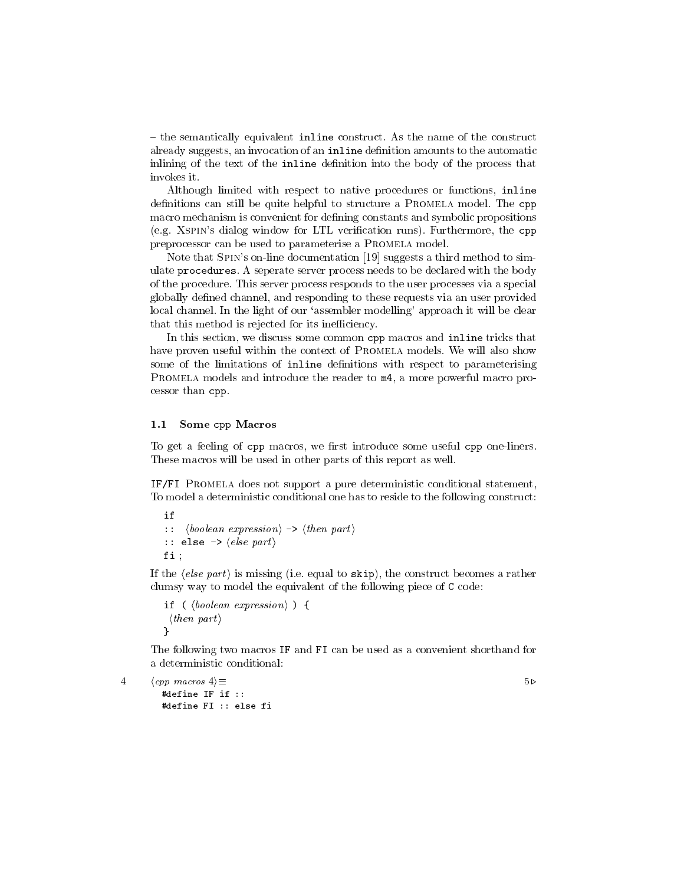${\rm -}$  the semantically equivalent inline construct. As the name of the construct already suggests, an invocation of an inline definition amounts to the automatic inlining of the text of the inline definition into the body of the process that invokes it.

Although limited with respect to native procedures or functions, inline definitions can still be quite helpful to structure a PROMELA model. The cpp macro mechanism is convenient for defining constants and symbolic propositions (e.g. Xspin's dialog window for LTL verication runs). Furthermore, the cpp preprocessor can be used to parameterise a Promela model.

Note that Spin's on-line documentation [19] suggests a third method to simulate procedures. A seperate server process needs to be declared with the body of the procedure. This server process responds to the user processes via a special globally dened channel, and responding to these requests via an user provided local channel. In the light of our 'assembler modelling' approach it will be clear that this method is rejected for its inefficiency.

In this section, we discuss some common cpp macros and inline tricks that have proven useful within the context of PROMELA models. We will also show some of the limitations of inline definitions with respect to parameterising Promela models and introduce the reader to m4, a more powerful macro processor than cpp.

### 1.1 Some cpp Macros

To get a feeling of cpp macros, we first introduce some useful cpp one-liners. These macros will be used in other parts of this report as well.

IF/FI Promela does not support a pure deterministic conditional statement, To model a deterministic conditional one has to reside to the following construct:

```
if
\langle \text{boolean expression} \rangle \rightarrow \langle \text{then part} \rangle:: else \rightarrow (else part)
fi \overline{\phantom{a}} ; \overline{\phantom{a}} ; \overline{\phantom{a}} ; \overline{\phantom{a}} ; \overline{\phantom{a}} ; \overline{\phantom{a}} ; \overline{\phantom{a}} ; \overline{\phantom{a}} ; \overline{\phantom{a}} ; \overline{\phantom{a}} ; \overline{\phantom{a}} ; \overline{\phantom{a}} ; \overline{\phantom{a}} ; \overline{\phantom{a}} ; \overline{\phantom{a}} ; \overline{\phantom
```
If the  $\langle else\ part\rangle$  is missing (i.e. equal to skip), the construct becomes a rather clumsy way to model the equivalent of the following piece of C code:

```
if (\langle boolean \; expression \rangle) {
\langle then\ part \rangleł
}
```
The following two macros IF and FI can be used as a convenient shorthand for a deterministic conditional:

4  $\langle cpp \; \text{macros} \; 4 \rangle \equiv$  5 .

#define IF if :: #define FI :: else fi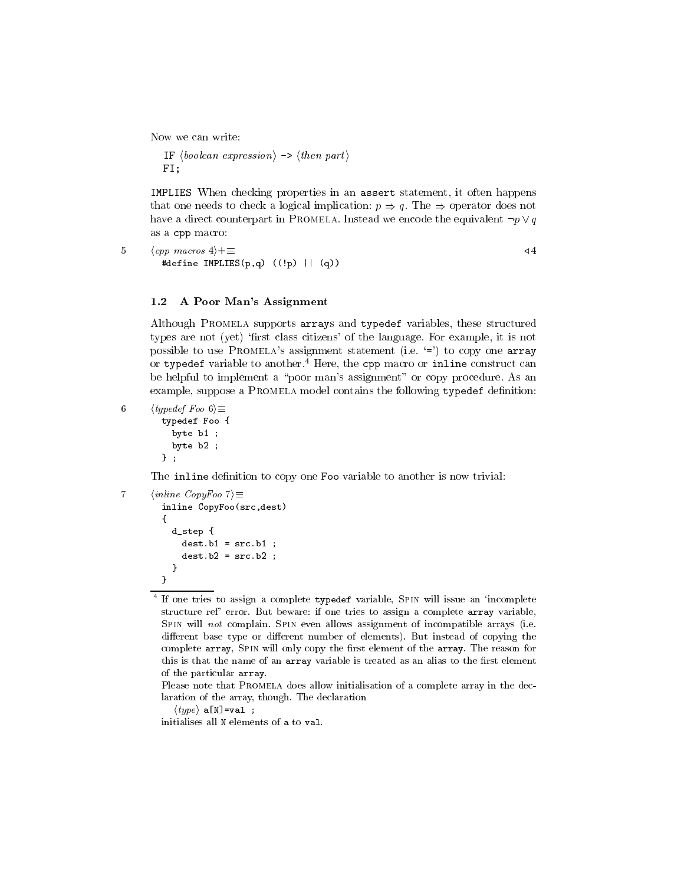Now we can write:

IF (boolean expression)  $\rightarrow$  (then part)  $FI:$ FI;

IMPLIES When checking properties in an assert statement, it often happens that one needs to check a logical implication:  $p \Rightarrow q$ . The  $\Rightarrow$  operator does not have a direct counterpart in PROMELA. Instead we encode the equivalent  $\neg p \lor q$ as a cpp macro:

5  $\langle cpp \; \text{macros} \; 4 \rangle + \equiv$  4 #define IMPLIES(p,q) ((!p) || (q))

# 1.2 A Poor Man's Assignment

Although Promela supports arrays and typedef variables, these structured types are not (yet) 'first class citizens' of the language. For example, it is not possible to use PROMELA's assignment statement (i.e.  $\epsilon$ ) to copy one array or typedef variable to another.<sup>4</sup> Here, the cpp macro or inline construct can be helpful to implement a "poor man's assignment" or copy procedure. As an example, suppose a PROMELA model contains the following typedef definition:

6  $\langle \text{typedef} \space \text{Foo} \space 6 \rangle \equiv$ typedef Foo { byte b1 ; byte b2 ; } ;

The inline definition to copy one Foo variable to another is now trivial:

7 (*inline CopyFoo* 7) $\equiv$ 

```
inline CopyFoo(src,dest)
\mathcal{F}{\color{red} \bullet} . The contract of the contract of the contract of the contract of the contract of the contract of the contract of the contract of the contract of the contract of the contract of the contract of the contract of 
      d_step {
             dest.b1 = src.b1;dest.b2 = src.b2 ;}
 }
```
<sup>4</sup> If one tries to assign a complete typedef variable, Spin will issue an `incomplete structure ref' error. But beware: if one tries to assign a complete array variable, SPIN will not complain. SPIN even allows assignment of incompatible arrays (i.e. different base type or different number of elements). But instead of copying the complete array, SPIN will only copy the first element of the array. The reason for this is that the name of an array variable is treated as an alias to the first element of the particular array.

Please note that Promela does allow initialisation of a complete array in the declaration of the array, though. The declaration

 $\langle type \rangle$  a [N]=val ;

initialises all N elements of a to val.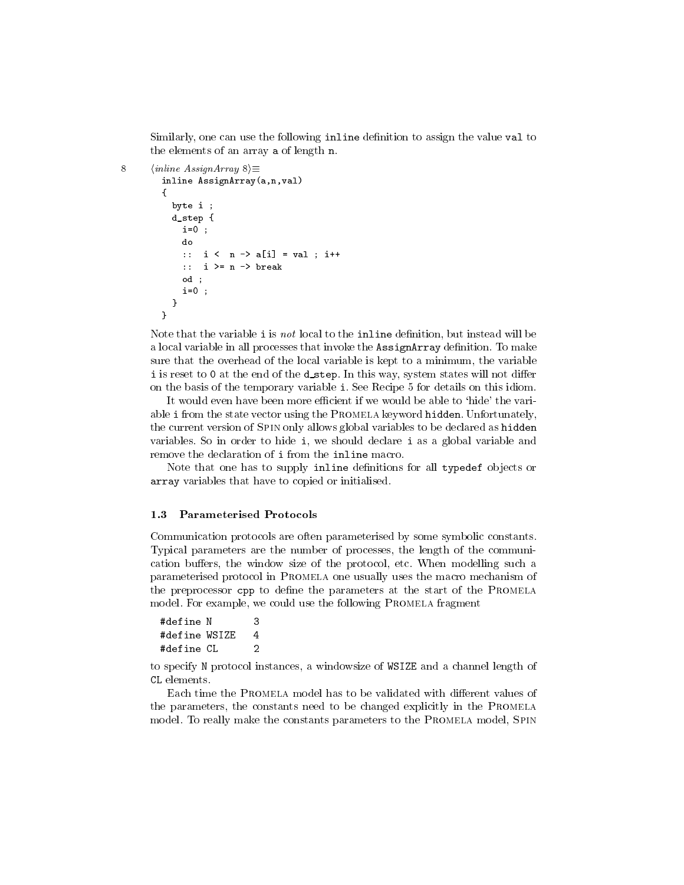Similarly, one can use the following inline definition to assign the value value the elements of an array a of length n.

```
8 (inline AssignArray 8)\equiv
```
}

```
inline AssignArray(a,n,val)
{\color{red} \bullet} . The contract of the contract of the contract of the contract of the contract of the contract of the contract of the contract of the contract of the contract of the contract of the contract of the contract of 
     byte i ;
     d_step {
           i=0 ;
           :: i < n -> a[i] = val ; i++
           :: i >= n -> break
           od ;
           i=0 ;
      }
```
Note that the variable  $i$  is not local to the inline definition, but instead will be a local variable in all processes that invoke the AssignArray definition. To make sure that the overhead of the local variable is kept to a minimum, the variable i is reset to 0 at the end of the d\_step. In this way, system states will not differ on the basis of the temporary variable i. See Recipe 5 for details on this idiom.

It would even have been more efficient if we would be able to 'hide' the variable i from the state vector using the Promela keyword hidden. Unfortunately, the current version of Spin only allows global variables to be declared as hidden variables. So in order to hide i, we should declare i as a global variable and remove the declaration of i from the inline macro.

Note that one has to supply inline definitions for all typedef objects or array variables that have to copied or initialised.

## 1.3 Parameterised Protocols

Communication protocols are often parameterised by some symbolic constants. Typical parameters are the number of processes, the length of the communication buffers, the window size of the protocol, etc. When modelling such a parameterised protocol in Promela one usually uses the macro mechanism of the preprocessor cpp to define the parameters at the start of the PROMELA model. For example, we could use the following PROMELA fragment

```
#define N
                          3
#define WSIZE
                          \overline{4}#define CL
                          \overline{2}
```
to specify N protocol instances, a windowsize of WSIZE and a channel length of CL elements.

Each time the PROMELA model has to be validated with different values of the parameters, the constants need to be changed explicitly in the PROMELA model. To really make the constants parameters to the Promela model, Spin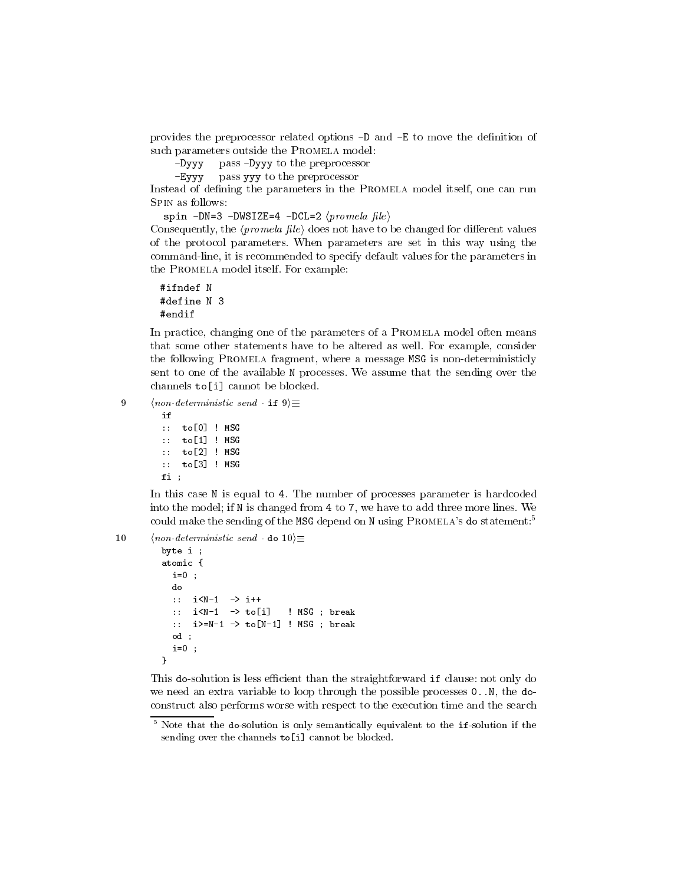provides the preprocessor related options -D and -E to move the denition of such parameters outside the PROMELA model:

-Dyyy pass -Dyyy to the preprocessor

-Eyyy pass yyy to the preprocessor

Instead of defining the parameters in the PROMELA model itself, one can run SPIN as follows:

spin -DN=3 -DWSIZE=4 -DCL=2  $\langle$ *promela file* $\rangle$ 

Consequently, the  $\langle$ *promela file* $\rangle$  does not have to be changed for different values of the protocol parameters. When parameters are set in this way using the command-line, it is recommended to specify default values for the parameters in the Promela model itself. For example:

```
#ifndef N
#define N 3
#endif
```
In practice, changing one of the parameters of a PROMELA model often means that some other statements have to be altered as well. For example, consider the following Promela fragment, where a message MSG is non-deterministicly sent to one of the available N processes. We assume that the sending over the channels to[i] cannot be blocked.

```
9 \langle non-deterministic send - if 9\rangle \equiv
```
 $i$ f

```
:: to[0] ! MSG
:: to[1] ! MSG
:: to[2] ! MSG
:: to[3] ! MSG
fi ;
```
}

In this case N is equal to 4. The number of processes parameter is hardcoded into the model; if N is changed from 4 to 7, we have to add three more lines. We could make the sending of the MSG depend on N using PROMELA's do statement:<sup>5</sup>

10

```
\langle non-deterministic \; send \; -do \; 10 \rangle \equiv
```

```
byte i ;
atomic {
  i=0 ;
 do
  :: i<N-1 -> i++
  :: i<N-1 -> to[i] ! MSG ; break
  :: i>=N-1 -> to[N-1] ! MSG ; break
  od ;
  i=0 ;
```
This do-solution is less efficient than the straightforward if clause: not only do we need an extra variable to loop through the possible processes 0..N, the do construct also performs worse with respect to the execution time and the search

<sup>5</sup> Note that the do-solution is only semantically equivalent to the if-solution if the sending over the channels to [i] cannot be blocked.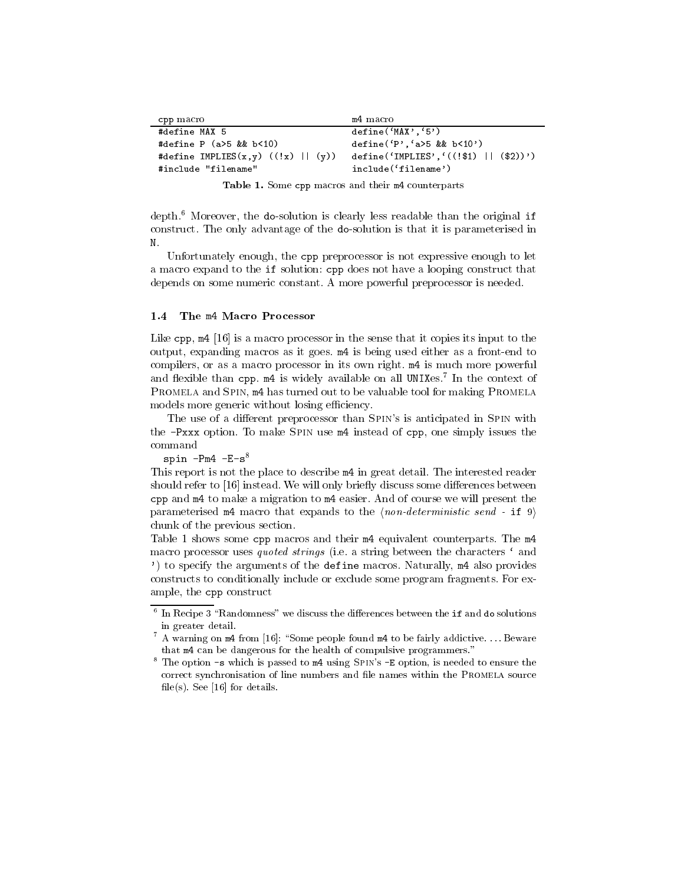| cpp macro                                | m4 macro                                |
|------------------------------------------|-----------------------------------------|
| #define MAX 5                            | define('MAX'.`5')                       |
| #define $P$ (a>5 && b<10)                | define $('P', 'a>5 \& k b < 10')$       |
| #define IMPLIES $(x,y)$ $((!x)     (y))$ | define('IMPLIES','((!\$1)   $($ \$2))') |
| #include "filename"                      | include('filename')                     |

Table 1. Some cpp macros and their m4 counterparts

depth.<sup>6</sup> Moreover, the do-solution is clearly less readable than the original if construct. The only advantage of the do-solution is that it is parameterised in  $N_{-}$ 

Unfortunately enough, the cpp preprocessor is not expressive enough to let a macro expand to the if solution: cpp does not have a looping construct that depends on some numeric constant. A more powerful preprocessor is needed.

#### $1.4$ The m4 Macro Processor

Like cpp, m4 [16] is a macro processor in the sense that it copies its input to the output, expanding macros as it goes. m4 is being used either as a front-end to compilers, or as a macro processor in its own right. m4 is much more powerful and nexible than cpp. m4 is widely available on all UNIXes. In the context of PROMELA and SPIN, m4 has turned out to be valuable tool for making PROMELA models more generic without losing efficiency.

The use of a different preprocessor than SPIN's is anticipated in SPIN with the -Pxxx option. To make Spin use m4 instead of cpp, one simply issues the command

```
spin -Pm4 -E-s<sup>8</sup></sup>
```
This report is not the place to describe m4 in great detail. The interested reader should refer to [16] instead. We will only briefly discuss some differences between cpp and m4 to make a migration to m4 easier. And of course we will present the parameterised  $m4$  macro that expands to the  $\langle non-deterministic send - if 9 \rangle$ chunk of the previous section.

Table 1 shows some cpp macros and their m4 equivalent counterparts. The m4 macro processor uses *quoted strings* (i.e. a string between the characters  $\cdot$  and ') to specify the arguments of the define macros. Naturally, m4 also provides constructs to conditionally include or exclude some program fragments. For example, the cpp construct

 $^{\circ}$  In Recipe 3 "Randomness" we discuss the differences between the  $\mathtt{ir}$  and do solutions in greater detail.

<sup>7</sup> A warning on m4 from [16]: \Some people found m4 to be fairly addictive. . . . Beware that m4 can be dangerous for the health of compulsive programmers."

<sup>8</sup> The option -s which is passed to m4 using Spin's -E option, is needed to ensure the correct synchronisation of line numbers and file names within the PROMELA source file(s). See [16] for details.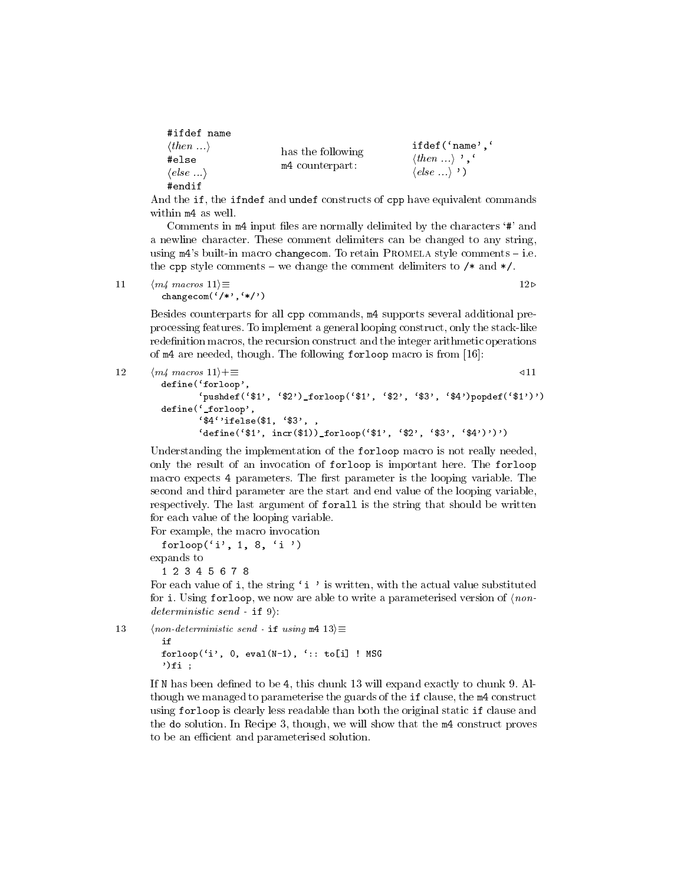| #ifdef name                     |                   |                                        |  |
|---------------------------------|-------------------|----------------------------------------|--|
| $\langle then \dots \rangle$    | has the following | ifdef ('name','                        |  |
| #else                           | m4 counterpart:   | $\langle then \dots \rangle$ , $\cdot$ |  |
| $\langle$ else $\ldots \rangle$ |                   | $\langle else \dots \rangle$ )         |  |
| #endif                          |                   |                                        |  |

And the if, the ifndef and undef constructs of cpp have equivalent commands within m4 as well.

Comments in m4 input files are normally delimited by the characters '#' and a newline character. These comment delimiters can be changed to any string, using  $m4$ 's built-in macro changecom. To retain PROMELA style comments  $-$  i.e. the cpp style comments – we change the comment delimiters to  $/*$  and  $*/$ .

11  $\langle m4 \text{ macros } 11 \rangle \equiv$  12  $\triangleright$ changecom( $'$ /\*', $'$ \*/')

Besides counterparts for all cpp commands, m4 supports several additional preprocessing features. To implement a general looping construct, only the stack-like redefinition macros, the recursion construct and the integer arithmetic operations of m4 are needed, though. The following forloop macro is from [16]:

 $\{m_4 \text{ macros } 11\} + \equiv$  411 define('forloop',  $'$ pushdef('\$1', '\$2')\_forloop('\$1', '\$2', '\$3', '\$4')popdef('\$1')') define(`\_forloop',  $`$ \$4''ifelse(\$1, '\$3', , `define(`\$1', incr(\$1))\_forloop(`\$1', `\$2', `\$3', `\$4')')')

Understanding the implementation of the forloop macro is not really needed, only the result of an invocation of forloop is important here. The forloop macro expects 4 parameters. The first parameter is the looping variable. The second and third parameter are the start and end value of the looping variable, respectively. The last argument of forall is the string that should be written for each value of the looping variable.

For example, the macro invocation forloop $('i', 1, 8, 'i')$ expands to

expand to the contract of the contract of the contract of the contract of the contract of the contract of the contract of the contract of the contract of the contract of the contract of the contract of the contract of the 1 2 3 4 5 6 7 8

if

For each value of  $i$ , the string  $'i$  ' is written, with the actual value substituted for i. Using forloop, we now are able to write a parameterised version of  $\langle non$ deterministic send - if 9):

13 (non-deterministic send - if using  $m4$  13) $\equiv$ 

```
for loop('i', 0, eval(N-1), ':: to[i] ! MSG')fi ;
```
If N has been defined to be 4, this chunk 13 will expand exactly to chunk 9. Although we managed to parameterise the guards of the if clause, the m4 construct using forloop is clearly less readable than both the original static if clause and the do solution. In Recipe 3, though, we will show that the m4 construct proves to be an efficient and parameterised solution.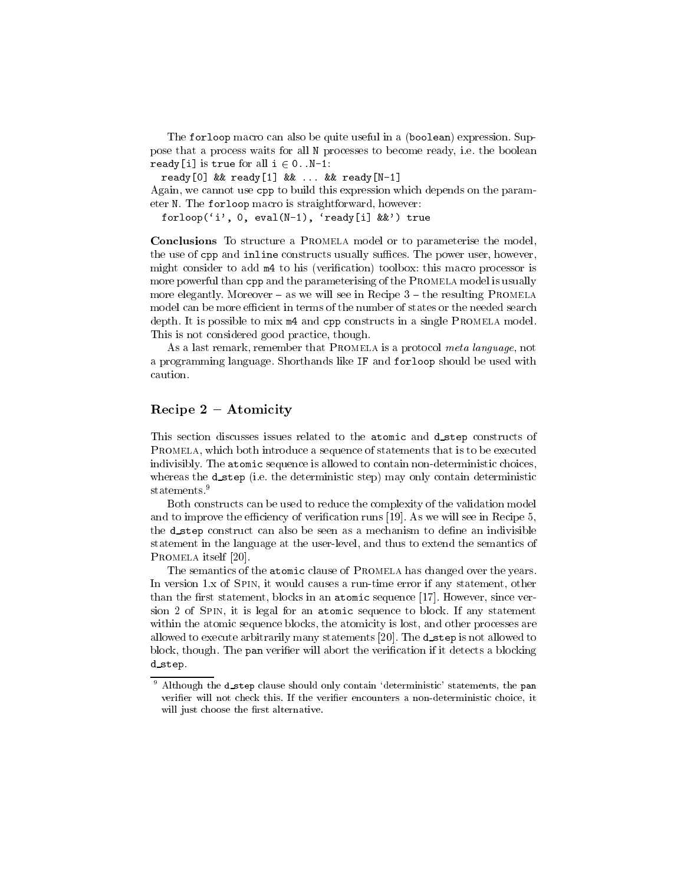The forloop macro can also be quite useful in a (boolean) expression. Suppose that a process waits for all N processes to become ready, i.e. the boolean ready[i] is true for all  $i \in 0$ ..N-1:

ready[0] && ready[1] && ... && ready[N-1]

Again, we cannot use cpp to build this expression which depends on the parameter N. The forloop macro is straightforward, however:

forloop('i', 0, eval(N-1), 'ready[i]  $&x$ ') true

Conclusions To structure a Promela model or to parameterise the model, the use of cpp and inline constructs usually suffices. The power user, however, might consider to add  $m4$  to his (verification) toolbox: this macro processor is more powerful than cpp and the parameterising of the PROMELA model is usually more elegantly. Moreover  $-$  as we will see in Recipe  $3$   $-$  the resulting PROMELA model can be more efficient in terms of the number of states or the needed search depth. It is possible to mix m4 and cpp constructs in a single PROMELA model. This is not considered good practice, though.

As a last remark, remember that PROMELA is a protocol meta language, not a programming language. Shorthands like IF and forloop should be used with caution.

## Recipe  $2 -$  Atomicity

This section discusses issues related to the atomic and d\_step constructs of Promela, which both introduce a sequence of statements that is to be executed indivisibly. The atomic sequence is allowed to contain non-deterministic choices, whereas the  $d$ -step (i.e. the deterministic step) may only contain deterministic statements.<sup>9</sup>

Both constructs can be used to reduce the complexity of the validation model and to improve the efficiency of verification runs  $[19]$ . As we will see in Recipe 5, the **d\_step** construct can also be seen as a mechanism to define an indivisible statement in the language at the user-level, and thus to extend the semantics of PROMELA itself [20].

The semantics of the atomic clause of PROMELA has changed over the years. In version 1.x of Spin, it would causes a run-time error if any statement, other than the first statement, blocks in an atomic sequence  $[17]$ . However, since version 2 of Spin, it is legal for an atomic sequence to block. If any statement within the atomic sequence blocks, the atomicity is lost, and other processes are allowed to execute arbitrarily many statements  $[20]$ . The **d**\_step is not allowed to block, though. The pan verifier will abort the verification if it detects a blocking d step.

<sup>&</sup>lt;sup>9</sup> Although the **d\_step** clause should only contain 'deterministic' statements, the pan verifier will not check this. If the verifier encounters a non-deterministic choice, it will just choose the first alternative.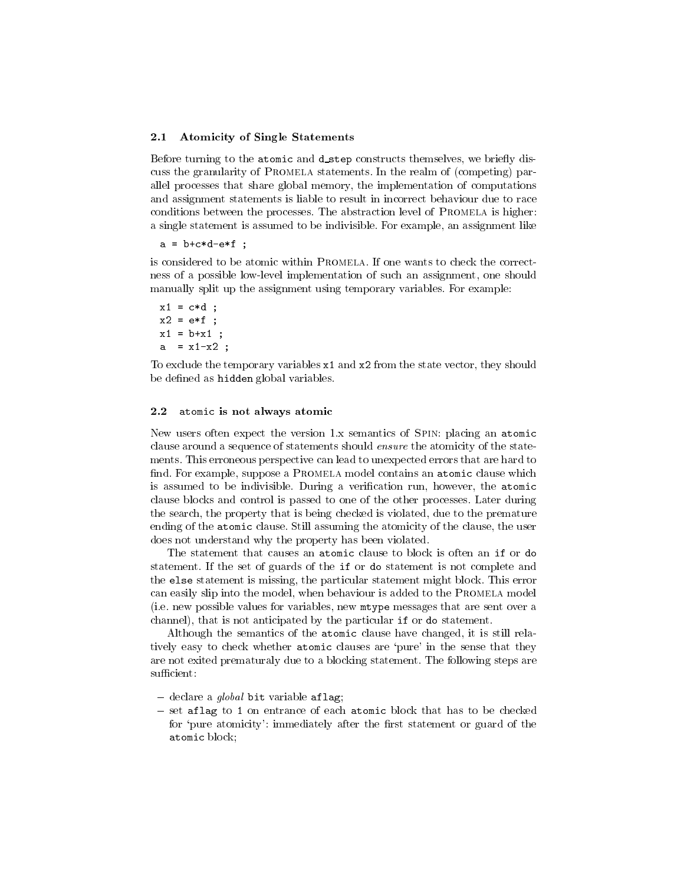### 2.1 Atomicity of Single Statements

Before turning to the atomic and d\_step constructs themselves, we briefly discuss the granularity of Promela statements. In the realm of (competing) parallel processes that share global memory, the implementation of computations and assignment statements is liable to result in incorrect behaviour due to race conditions between the processes. The abstraction level of PROMELA is higher: a single statement is assumed to be indivisible. For example, an assignment like

```
a = b + c * d - e * f;
```
is considered to be atomic within Promela. If one wants to check the correctness of a possible low-level implementation of such an assignment, one should manually split up the assignment using temporary variables. For example:

 $x1 = c*d$  ;  $x2 = e * f$ ;  $x1 = b + x1$ ;  $a = x1-x2$ :  $\mathbf{r}$ 

To exclude the temporary variables x1 and x2 from the state vector, they should be defined as hidden global variables.

### 2.2 atomic is not always atomic

New users often expect the version 1.x semantics of Spin: placing an atomic clause around a sequence of statements should ensure the atomicity of the statements. This erroneous perspective can lead to unexpected errors that are hard to find. For example, suppose a PROMELA model contains an atomic clause which is assumed to be indivisible. During a verication run, however, the atomic clause blocks and control is passed to one of the other processes. Later during the search, the property that is being checked is violated, due to the premature ending of the atomic clause. Still assuming the atomicity of the clause, the user does not understand why the property has been violated.

The statement that causes an atomic clause to block is often an if or do statement. If the set of guards of the if or do statement is not complete and the else statement is missing, the particular statement might block. This error can easily slip into the model, when behaviour is added to the PROMELA model (i.e. new possible values for variables, new mtype messages that are sent over a channel), that is not anticipated by the particular if or do statement.

Although the semantics of the atomic clause have changed, it is still relatively easy to check whether atomic clauses are `pure' in the sense that they are not exited prematuraly due to a blocking statement. The following steps are

- $-$  declare a global bit variable aflag;
- $=$  set aflag to 1 on entrance of each atomic block that has to be checked for 'pure atomicity': immediately after the first statement or guard of the atomic block;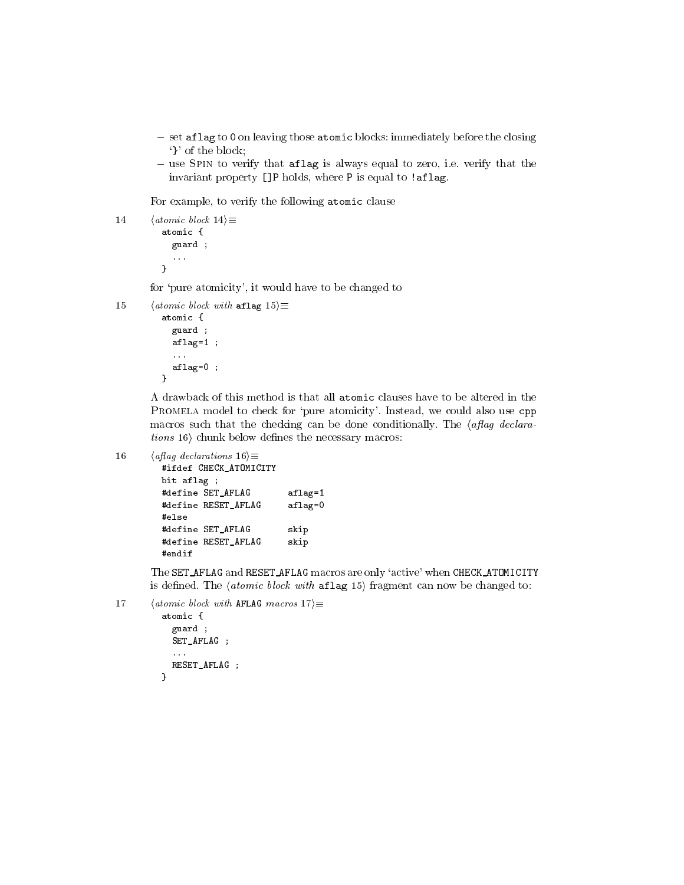- set aflag to 0 on leaving those atomic blocks: immediately before the closing `}' of the block;
- { use Spin to verify that aflag is always equal to zero, i.e. verify that the invariant property []P holds, where P is equal to !aflag.

For example, to verify the following atomic clause

```
14 \langle atomic \ block 14 \rangle \equivatomic {
                guard ;
                ...
             }
```
for `pure atomicity', it would have to be changed to

```
15 \langle atomic \ block \ with \ \mathbf{afflag} \ 15 \rangle \equiv
```

```
atomic {
 guard ;
 aflag=1 ;
  ...
 aflag=0 ;
}
```
A drawback of this method is that all atomic clauses have to be altered in the PROMELA model to check for 'pure atomicity'. Instead, we could also use cpp macros such that the checking can be done conditionally. The  $\langle aflag \, declara$  $tions$  16) chunk below defines the necessary macros:

```
16 \langle \textit{affag declarations 16} \rangle \equiv
```

```
#ifdef CHECK_ATOMICITY
bit aflag ;
#define SET_AFLAG aflag=1
#define RESET_AFLAG aflag=0
#else
#define SET_AFLAG skip
#define RESET_AFLAG skip
#endif
```
The SET\_AFLAG and RESET\_AFLAG macros are only 'active' when CHECK\_ATOMICITY is defined. The *(atomic block with* aflag 15) fragment can now be changed to:

17 (atomic block with AFLAG macros  $17 \equiv$ 

```
atomic {
  guard ;
  SET_AFLAG ;
  ...
  RESET_AFLAG ;
}
```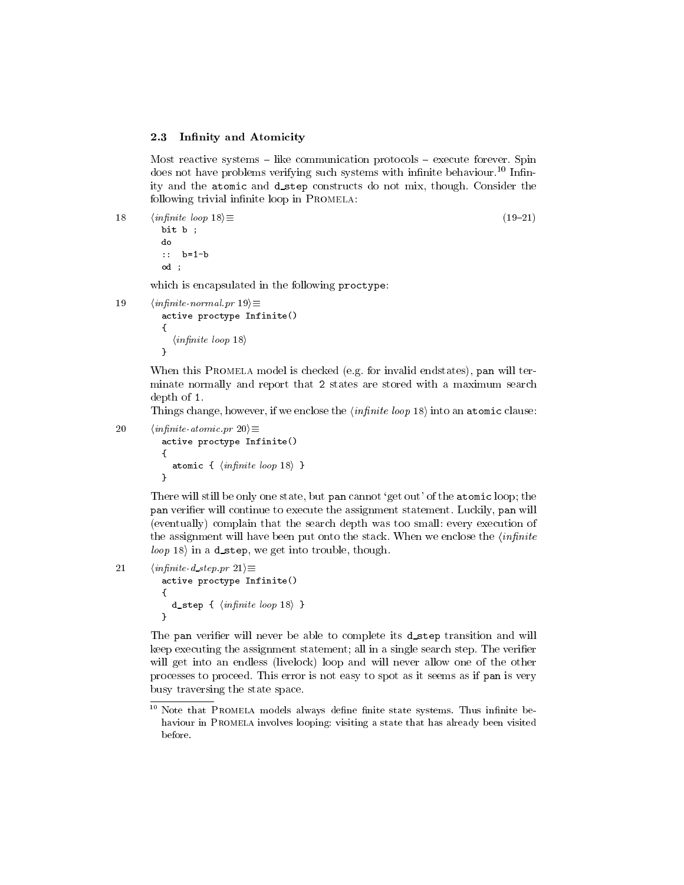## 2.3 Infinity and Atomicity

Most reactive systems  $-$  like communication protocols  $-$  execute forever. Spin does not have problems verifying such systems with infinite behaviour.<sup>10</sup> Infinity and the atomic and d\_step constructs do not mix, though. Consider the following trivial infinite loop in PROMELA:

18 hinnite loop 18i (19{21) bit b ;

 $\pm$ :

 $b=1-b$ 

od ;

which is encapsulated in the following proctype:

```
19 \langle \text{infinite-normal}.\text{pr 19} \rangle \equivactive proctype Infinite()
                {
                    \langle \text{infinite loop 18} \rangle
```
When this PROMELA model is checked (e.g. for invalid endstates), pan will terminate normally and report that 2 states are stored with a maximum search depth of 1.

Things change, however, if we enclose the  $\langle \textit{infinite loop} \; 18 \rangle$  into an atomic clause:

```
20 \langle \text{infinite-atomic}, \text{pr } 20 \rangle \equiv
```
}

active proctype Infinite() { atomic {  $\langle \text{infinite loop 18} \rangle$  }  $\mathcal{P}$ }

There will still be only one state, but pan cannot 'get out' of the atomic loop; the pan verifier will continue to execute the assignment statement. Luckily, pan will (eventually) complain that the search depth was too small: every execution of the assignment will have been put onto the stack. When we enclose the  $\langle \text{infinite} \rangle$  $\{loop\ 18\}$  in a d\_step, we get into trouble, though.

21  $\langle \text{infinite-}d\_step \text{.} \text{pr 21} \rangle \equiv$ 

```
active proctype Infinite()
ſ
 {\color{red} \bullet} . The contract of the contract of the contract of the contract of the contract of the contract of the contract of the contract of the contract of the contract of the contract of the contract of the contract of 
        d_step { \langle infinite\ loop\ 18\rangle }
\mathcal{P}}
```
The pan verifier will never be able to complete its d\_step transition and will keep executing the assignment statement; all in a single search step. The verifier will get into an endless (livelock) loop and will never allow one of the other processes to proceed. This error is not easy to spot as it seems as if pan is very busy traversing the state space.

 $^\circ$  Note that Promela models always define finite state systems. Thus infinite behaviour in PROMELA involves looping: visiting a state that has already been visited before.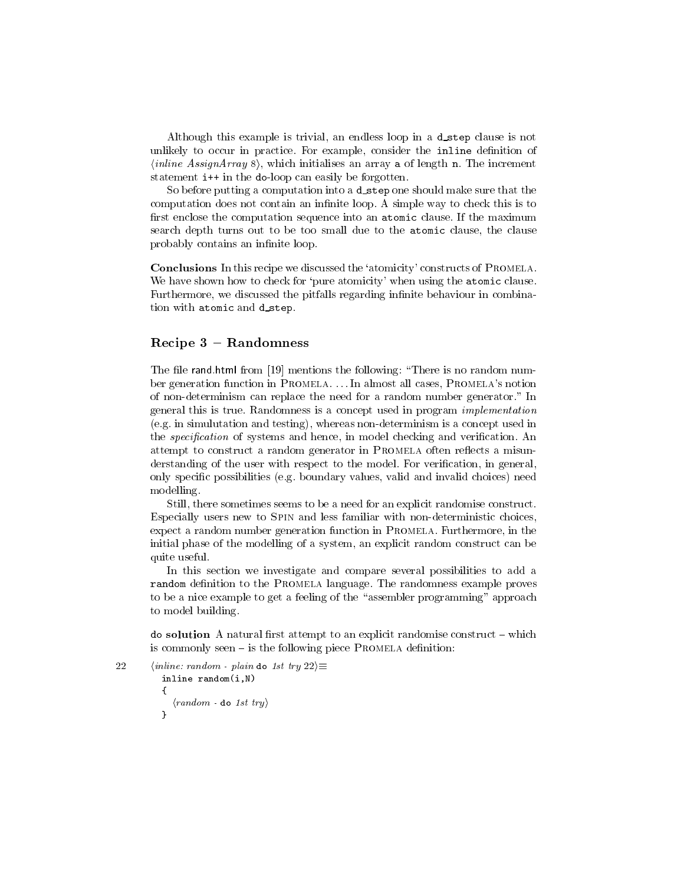Although this example is trivial, an endless loop in a d\_step clause is not unlikely to occur in practice. For example, consider the inline definition of  $\langle$ *inline AssignArray* 8 $\rangle$ , which initialises an array a of length n. The increment statement i++ in the do-loop can easily be forgotten.

So before putting a computation into a d\_step one should make sure that the computation does not contain an infinite loop. A simple way to check this is to first enclose the computation sequence into an atomic clause. If the maximum search depth turns out to be too small due to the atomic clause, the clause probably contains an infinite loop.

Conclusions In this recipe we discussed the `atomicity' constructs of Promela. We have shown how to check for 'pure atomicity' when using the atomic clause. Furthermore, we discussed the pitfalls regarding infinite behaviour in combination with atomic and d\_step.

## $Recipe 3 - Randomness$

The file rand.html from  $[19]$  mentions the following: "There is no random number generation function in Promela. . . . In almost all cases, Promela's notion of non-determinism can replace the need for a random number generator." In general this is true. Randomness is a concept used in program implementation (e.g. in simulutation and testing), whereas non-determinism is a concept used in the *specification* of systems and hence, in model checking and verification. An attempt to construct a random generator in PROMELA often reflects a misunderstanding of the user with respect to the model. For verification, in general, only specific possibilities (e.g. boundary values, valid and invalid choices) need modelling.

Still, there sometimes seems to be a need for an explicit randomise construct. Especially users new to Spin and less familiar with non-deterministic choices, expect a random number generation function in Promela. Furthermore, in the initial phase of the modelling of a system, an explicit random construct can be quite useful.

In this section we investigate and compare several possibilities to add a random definition to the PROMELA language. The randomness example proves to be a nice example to get a feeling of the "assembler programming" approach to model building.

do solution A natural first attempt to an explicit randomise construct  $-$  which is commonly seen  $-$  is the following piece PROMELA definition:

```
22 (inline: random - plain do 1st try 22)
                inline random(i,N)
                {\bf x} and {\bf x} are all {\bf x} and {\bf x} are all {\bf x}\langle random - do \; 1st \; try \rangleλ
                }
```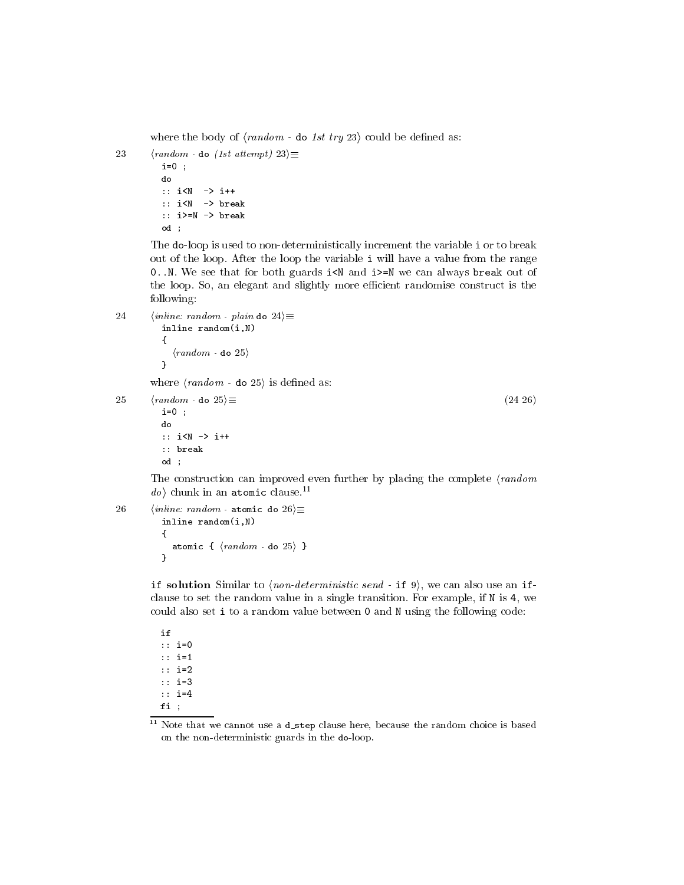where the body of  $\langle random - do 1st try 23 \rangle$  could be defined as:

```
23 \langle random - do \ (1st \ attempt) \ 23 \rangle \equivi=0 ;
          do
          :: i<N -> i++
          :: i<N -> break
          :: i>=N -> break
          od ;
```
The do-loop is used to non-deterministically increment the variable i or to break out of the loop. After the loop the variable i will have a value from the range 0..N. We see that for both guards  $i$ <N and  $i$ >=N we can always break out of the loop. So, an elegant and slightly more efficient randomise construct is the following:

```
24 (inline: random - plain do 24)\equiv
```

```
inline random(i,N)
 {\color{red} \bullet} . The contract of the contract of the contract of the contract of the contract of the contract of the contract of the contract of the contract of the contract of the contract of the contract of the contract of 
            \langle random - do 25 \rangle}
```
where  $\langle random -$  do 25) is defined as:

```
\frac{25}{25} \frac{\langle random \cdot \text{do } 25 \rangle \equiv} (24.26)
        i=0 ;
        do
        :: i<N -> i++
        :: break
        od ;
```
The construction can improved even further by placing the complete  $\langle random$  $d\rho$  chunk in an atomic clause.<sup>11</sup>

```
26 (inline: random - atomic do 26\rangle \equivinline random(i,N)
           {
              atomic { \langle random - do 25 \rangle }
```
if solution Similar to (non-deterministic send - if 9), we can also use an ifclause to set the random value in a single transition. For example, if N is4, we could also set i to a random value between 0 and N using the following code:

 $i$ f :: i=0 :: i=1 :: i=2 :: i=3 :: i=4 fi ;

}

<sup>11</sup> Note that we cannot use a <sup>d</sup> step clause here, because the random choice is based on the non-deterministic guards in the do-loop.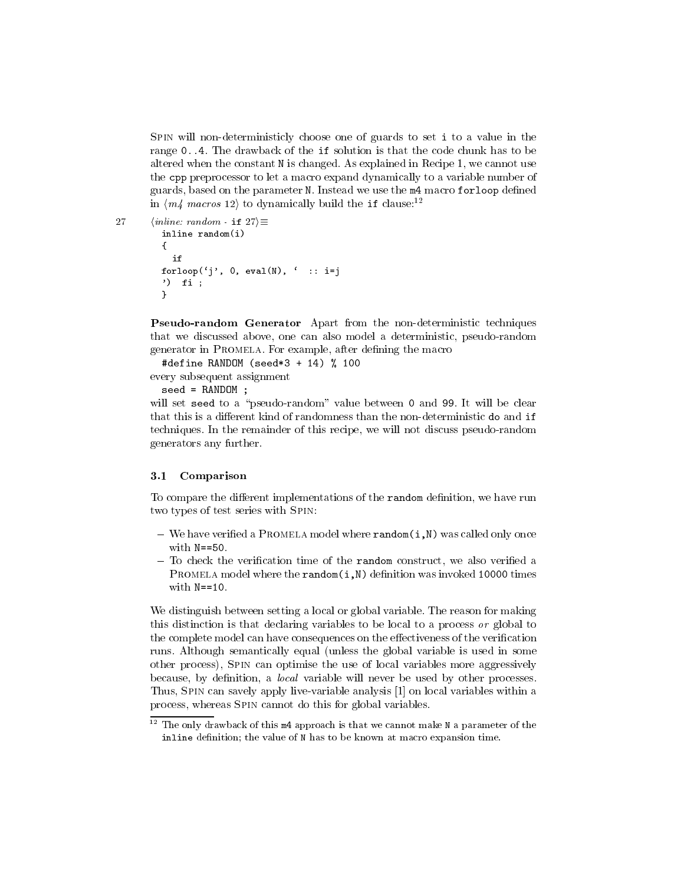Spin will non-deterministicly choose one of guards to set i to a value in the range 0..4. The drawback of the if solution is that the code chunk has to be altered when the constant N is changed. As explained in Recipe 1, we cannot use the cpp preprocessor to let a macro expand dynamically to a variable number of guards, based on the parameter N. Instead we use the m4 macro forloop defined in  $\langle m4 \rangle$  macros 12) to dynamically build the if clause:<sup>12</sup>

27

```
\langle inline: random - if 27\rangle \equivinline random(i)
  {
     if
  for loop('j', 0, eval(N), ' :: i=j') fi;
  }
```
Pseudo-random Generator Apart from the non-deterministic techniques that we discussed above, one can also model a deterministic, pseudo-random generator in PROMELA. For example, after defining the macro

#define RANDOM (seed\*3 + 14) % 100

every subsequent assignment

seed = RANDOM ;

will set seed to a "pseudo-random" value between 0 and 99. It will be clear that this is a different kind of randomness than the non-deterministic do and if techniques. In the remainder of this recipe, we will not discuss pseudo-random generators any further.

#### $3.1$ **Comparison**

To compare the different implementations of the random definition, we have run two types of test series with Spin:

- We have verified a PROMELA model where random(i, N) was called only once with N==50.
- $-$  To check the verification time of the random construct, we also verified a PROMELA model where the  $\text{random}(i, N)$  definition was invoked 10000 times with  $N = 10$ .

We distinguish between setting a local or global variable. The reason for making this distinction is that declaring variables to be local to a process or global to the complete model can have consequences on the effectiveness of the verification runs. Although semantically equal (unless the global variable is used in some other process), Spin can optimise the use of local variables more aggressively because, by definition, a *local* variable will never be used by other processes. Thus, SPIN can savely apply live-variable analysis [1] on local variables within a process, whereas Spin cannot do this for global variables.

<sup>12</sup> The only drawback of this m4 approach is that we cannot make N a parameter of the inline definition; the value of N has to be known at macro expansion time.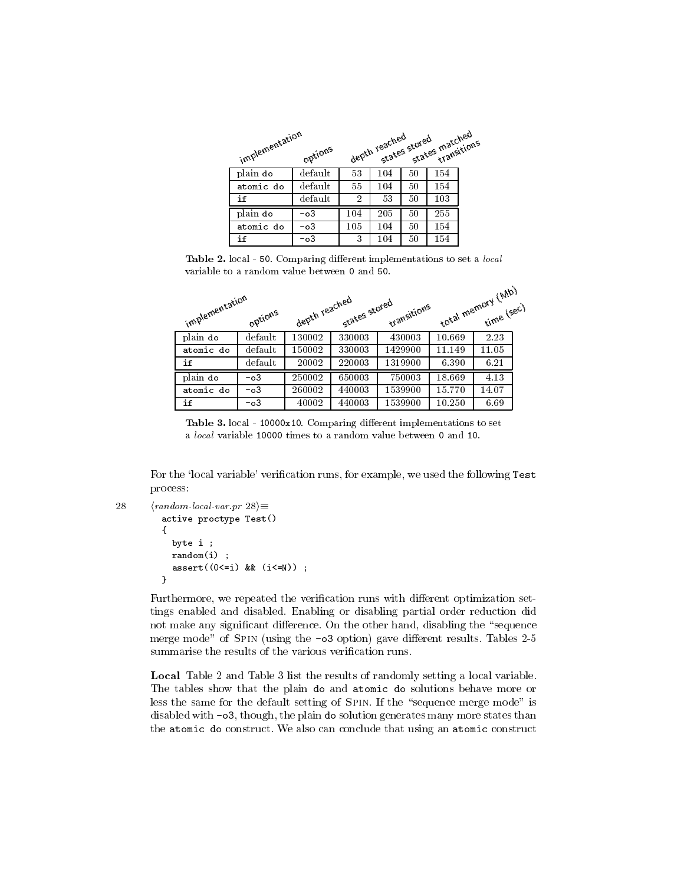| implementation | options     |                |     |    | depth reached<br>depth reached stored matched |  |
|----------------|-------------|----------------|-----|----|-----------------------------------------------|--|
| plain do       | default     | 53             | 104 | 50 | 154                                           |  |
| atomic do      | default     | 55             | 104 | 50 | 154                                           |  |
| if             | default     | $\overline{2}$ | 53  | 50 | 103                                           |  |
| plain do       | $-03$       | 104            | 205 | 50 | 255                                           |  |
| atomic do      | $-03$       | 105            | 104 | 50 | 154                                           |  |
| if             | $-\sigma$ 3 | 3              | 104 | 50 | 154                                           |  |

Table 2. local - 50. Comparing different implementations to set a local variable to a random value between 0 and 50.

| implementation |            |               |               |             | total memory (Mb)<br>total memory (Mb) |       |
|----------------|------------|---------------|---------------|-------------|----------------------------------------|-------|
|                | options    | depth reached | states stored | transitions |                                        |       |
| plain do       | default    | 130002        | 330003        | 430003      | 10.669                                 | 2.23  |
| atomic do      | default    | 150002        | 330003        | 1429900     | 11.149                                 | 11.05 |
| if             | default    | 20002         | 220003        | 1319900     | 6.390                                  | 6.21  |
| plain do       | $-03$      | 250002        | 650003        | 750003      | 18.669                                 | 4.13  |
| atomic do      | $-03$      | 260002        | 440003        | 1539900     | 15.770                                 | 14.07 |
| if             | $-\circ 3$ | 40002         | 440003        | 1539900     | 10.250                                 | 6.69  |

Table 3. local - 10000x10. Comparing different implementations to set a local variable 10000 times to a random value between 0 and 10.

For the 'local variable' verification runs, for example, we used the following Test process:

```
28 \langle random-local-var.pr 28 \rangle \equivactive proctype Test()
                          ſ
                           {\color{red} \bullet} . The contract of the contract of the contract of the contract of the contract of the contract of the contract of the contract of the contract of the contract of the contract of the contract of the contract of 
                                byte i ;
                                random(i) ;
                                assert((0<=i) && (i<=N)) ;
                           }
```
Furthermore, we repeated the verification runs with different optimization settings enabled and disabled. Enabling or disabling partial order reduction did not make any significant difference. On the other hand, disabling the "sequence merge mode" of SPIN (using the  $-$ o3 option) gave different results. Tables 2-5 summarise the results of the various verification runs.

Local Table 2 and Table 3 list the results of randomly setting a local variable. The tables show that the plain do and atomic do solutions behave more or less the same for the default setting of SPIN. If the "sequence merge mode" is disabled with  $-\infty$ 3, though, the plain do solution generates many more states than the atomic do construct. We also can conclude that using an atomic construct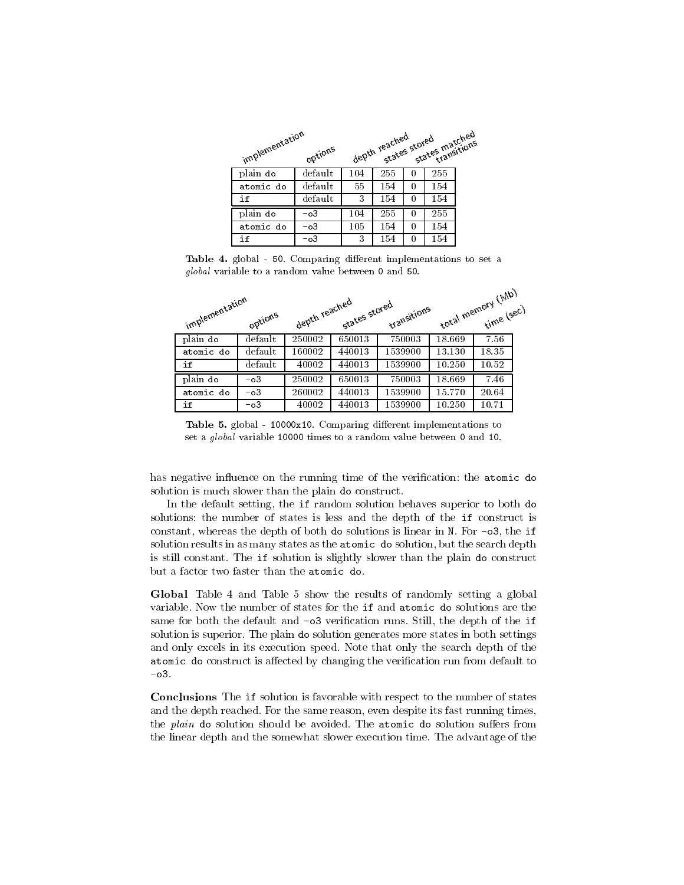| implementation | options     |     | depth reached |   |     | m states stored matches |
|----------------|-------------|-----|---------------|---|-----|-------------------------|
| plain do       | default     | 104 | 255           |   | 255 |                         |
| atomic do      | default     | 55  | 154           | 0 | 154 |                         |
| if             | default     | 3   | 154           |   | 154 |                         |
| plain do       | $-03$       | 104 | 255           | 0 | 255 |                         |
| atomic do      | $-\sigma$ 3 | 105 | 154           | 0 | 154 |                         |
| if             | $-03$       | 3   | 154           | 0 | 154 |                         |

Table 4. global - 50. Comparing different implementations to set a global variable to a random value between 0 and 50.

|                |            |               |               |             | total memory (Mb)<br>total memory (Mb) |       |
|----------------|------------|---------------|---------------|-------------|----------------------------------------|-------|
| implementation | options    | depth reached | states stored | transitions |                                        |       |
| $plain$ do     | default    | 250002        | 650013        | 750003      | 18.669                                 | 7.56  |
| atomic do      | default    | 160002        | 440013        | 1539900     | 13.130                                 | 18.35 |
| if             | default    | 40002         | 440013        | 1539900     | 10.250                                 | 10.52 |
| $plain$ do     | $-03$      | 250002        | 650013        | 750003      | 18.669                                 | 7.46  |
| atomic do      | $-\circ 3$ | 260002        | 440013        | 1539900     | 15.770                                 | 20.64 |
| if             | $-03$      | 40002         | 440013        | 1539900     | 10.250                                 | 10.71 |



has negative influence on the running time of the verification: the atomic do solution is much slower than the plain do construct.

In the default setting, the if random solution behaves superior to both do solutions: the number of states is less and the depth of the if construct is constant, whereas the depth of both do solutions is linear in N. For -o3, the if solution results in as many states as the atomic do solution, but the search depth is still constant. The if solution is slightly slower than the plain do construct but a factor two faster than the atomic do.<br>Global Table 4 and Table 5 show the results of randomly setting a global

variable. Now the number of states for the if and atomic do solutions are the same for both the default and -03 verification runs. Still, the depth of the if solution is superior. The plain do solution generates more states in both settings and only excels in its execution speed. Note that only the search depth of the atomic do construct is affected by changing the verification run from default to -o3.

Conclusions The if solution is favorable with respect to the number of states and the depth reached. For the same reason, even despite its fast running times, the  $plain$  do solution should be avoided. The atomic do solution suffers from the linear depth and the somewhat slower execution time. The advantage of the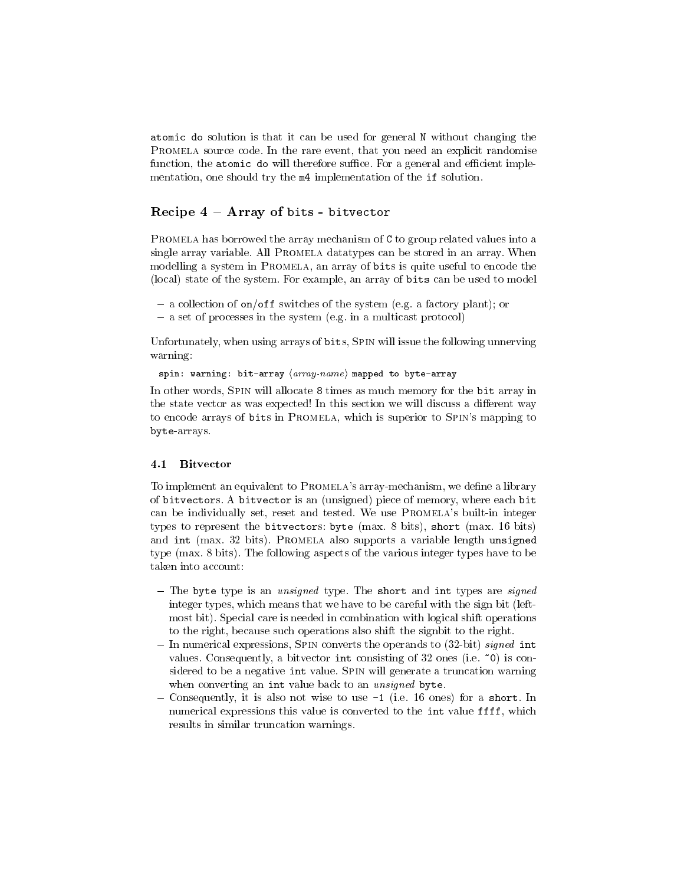atomic do solution is that it can be used for general N without changing the Promela source code. In the rare event, that you need an explicit randomise function, the atomic do will therefore suffice. For a general and efficient implementation, one should try the m4 implementation of the if solution.

## Recipe  $4 -$  Array of bits - bitvector

PROMELA has borrowed the array mechanism of C to group related values into a single array variable. All PROMELA datatypes can be stored in an array. When modelling a system in PROMELA, an array of bits is quite useful to encode the (local) state of the system. For example, an array of bits can be used to model

- $=$  a collection of on/off switches of the system (e.g. a factory plant); or
- $=$  a set of processes in the system (e.g. in a multicast protocol)

Unfortunately, when using arrays of bits, Spin will issue the following unnerving warning:

```
spin: warning: bit-array \langle \text{array-name} \rangle mapped to byte-array
```
In other words, Spin will allocate 8 times as much memory for the bit array in the state vector as was expected! In this section we will discuss a different way to encode arrays of bits in Promela, which is superior to Spin's mapping to byte-arrays.

## 4.1 Bitvector

To implement an equivalent to PROMELA's array-mechanism, we define a library of bitvectors. A bitvector is an (unsigned) piece of memory, where each bit can be individually set, reset and tested. We use PROMELA's built-in integer types to represent the bitvectors: byte (max. 8 bits), short (max. 16 bits) and int (max. 32 bits). PROMELA also supports a variable length unsigned type (max. 8 bits). The following aspects of the various integer types have to be taken into account:

- $-$  The byte type is an unsigned type. The short and int types are signed integer types, which means that we have to be careful with the sign bit (leftmost bit). Special care is needed in combination with logical shift operations to the right, because such operations also shift the signbit to the right.
- $-$  In numerical expressions, SPIN converts the operands to (32-bit) signed int values. Consequently, a bitvector int consisting of 32 ones (i.e. ~0) is considered to be a negative int value. SPIN will generate a truncation warning when converting an int value back to an *unsigned* byte.
- ${\rm -}$  Consequently, it is also not wise to use  ${\rm -}1$  (i.e. 16 ones) for a short. In numerical expressions this value is converted to the int value ffff, which results in similar truncation warnings.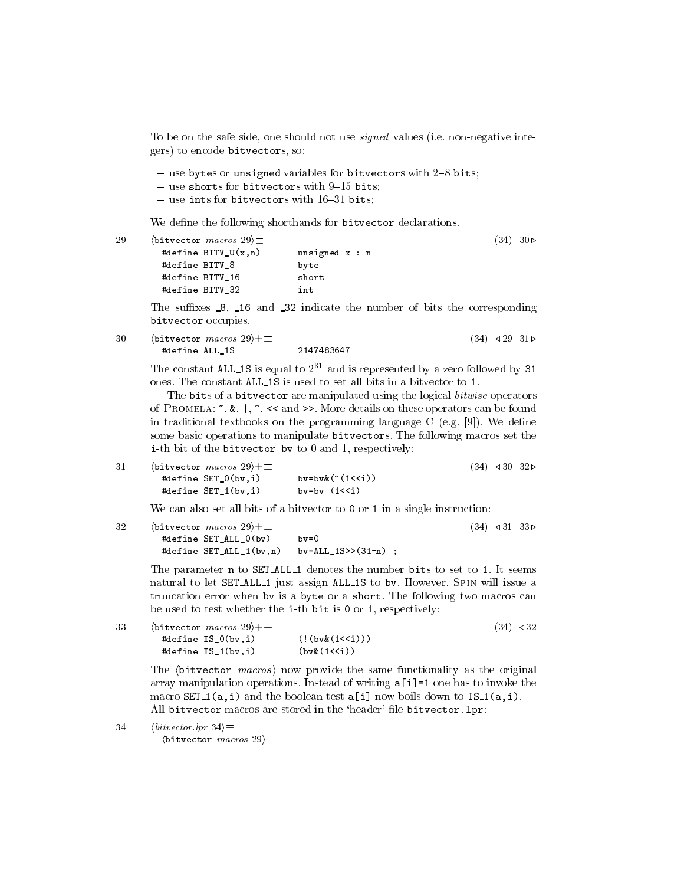To be on the safe side, one should not use *signed* values (i.e. non-negative integers) to encode bitvectors, so:

 $-$  use bytes or unsigned variables for bitvectors with 2-8 bits;

- $-$  use shorts for bitvectors with 9-15 bits;
- $-$  use ints for bitvectors with 16-31 bits;

We define the following shorthands for bitvector declarations.

29 (bitvector  $macros$  29)  $\equiv$  (34) 30  $\triangleright$ #define BITV\_U(x,n) unsigned x : n #define BITV\_8 byte #define BITV\_16 short #define BITV\_32  $int$ 

The suffixes  $\&$ , 16 and  $\&$ 32 indicate the number of bits the corresponding bitvector occupies.

$$
30 \qquad \text{(bitvector } \text{macro } 29 \rangle + \equiv \qquad \qquad (34) \quad 429 \quad 31 \triangleright
$$
\n
$$
\text{#define } \text{ALL\_1S} \qquad \qquad 2147483647
$$

The constant ALL  $1S$  is equal to  $2^{31}$  and is represented by a zero followed by 31 ones. The constant ALL 1S is used to set all bits in a bitvector to 1.

The bits of a bitvector are manipulated using the logical bitwise operators of PROMELA:  $\tilde{\ }$ ,  $\&$ ,  $\vert$ ,  $\hat{\ }$ ,  $\lt\$  and  $\gt$ . More details on these operators can be found in traditional textbooks on the programming language  $C$  (e.g. [9]). We define some basic operations to manipulate bitvectors. The following macros set the i-th bit of the bitvector bv to 0 and 1, respectively:

| $\langle$ bitvector macros 29 $\rangle + \equiv$ |                         | $(34)$ $\triangleleft 30$ $32 \triangleright$ |  |  |
|--------------------------------------------------|-------------------------|-----------------------------------------------|--|--|
| #define SET_0(bv,i)                              | $b v = b v \& (*(1<$    |                                               |  |  |
| #define $SET_1(bv, i)$                           | $b v = b v$ $(1 \le i)$ |                                               |  |  |

We can also set all bits of a bitvector to 0 or 1 in a single instruction:

| 32 | (bitvector $\textit{macros}~29\rangle + \equiv$      |           | $(34)$ $\triangleleft 31$ $33 \triangleright$ |
|----|------------------------------------------------------|-----------|-----------------------------------------------|
|    | #define SET_ALL_0(bv)                                | $h v = 0$ |                                               |
|    | #define $SET\_ALL_1(bv, n)$ bv= $ALL_1S \gt(31-n)$ ; |           |                                               |

The parameter n to SET\_ALL\_1 denotes the number bits to set to 1. It seems natural to let SET\_ALL\_1 just assign ALL\_1S to bv. However, SPIN will issue a truncation error when bv is a byte or a short. The following two macros can be used to test whether the i-th bit is 0 or 1, respectively:

| 33 | $\langle$ bitvector $\it{macros}$ 29 $\rangle + \equiv 0$ |                                      | $(34)$ $\triangleleft$ 32 |
|----|-----------------------------------------------------------|--------------------------------------|---------------------------|
|    | #define IS_0(bv,i)                                        | $(!(b\nu\&(1<$                       |                           |
|    | #define $IS_1(bv, i)$                                     | (bv&(1< <i))< td=""><td></td></i))<> |                           |

The  $\langle$ bitvector macros $\rangle$  now provide the same functionality as the original array manipulation operations. Instead of writing a[i]=1 one has to invoke the macro  $\text{SET}_1(a,i)$  and the boolean test  $a[i]$  now boils down to  $\text{IS}_1(a,i)$ . All bitvector macros are stored in the 'header' file bitvector. 1pr:

34 (bitvector.lpr  $34 \equiv$ 

 $\langle$ bitvector macros 29 $\rangle$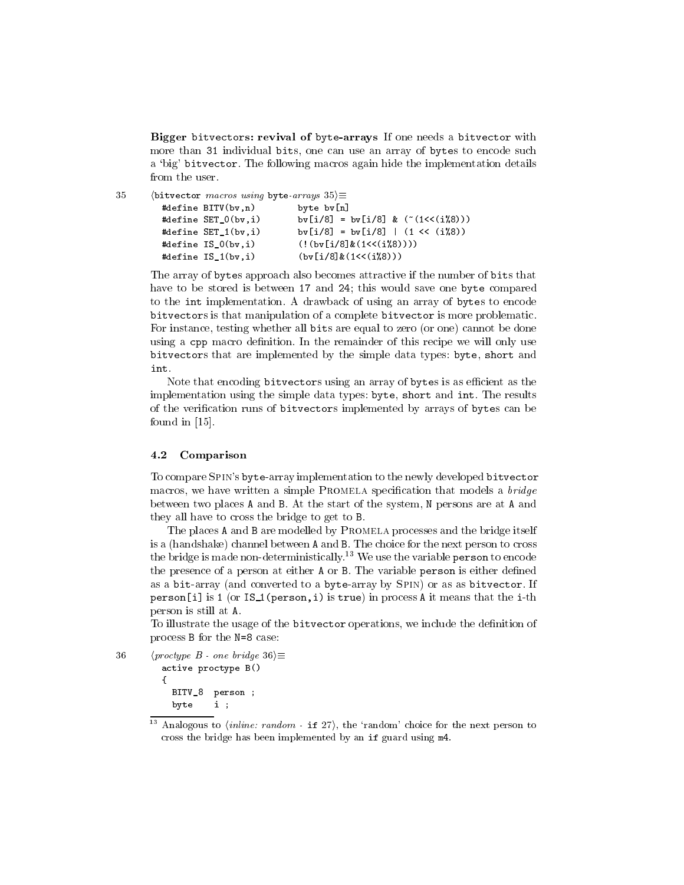Bigger bitvectors: revival of byte-arrays If one needs a bitvector with more than 31 individual bits, one can use an array of bytes to encode such a `big' bitvector. The following macros again hide the implementation details from the user.

| 35. |                        | (bitvector macros using byte-arrays $35$ ) $\equiv$      |  |
|-----|------------------------|----------------------------------------------------------|--|
|     | #define $BITV(bv,n)$   | byte by[n]                                               |  |
|     | #define $SET_0(bv, i)$ | $bv[i/8] = bv[i/8] & (*(1<<(i%)))$                       |  |
|     | #define $SET_1(bv, i)$ | $b\bar{v}[i/8] = b\bar{v}[i/8]$   $(1 \leq c \leq (i\%)$ |  |
|     | #define IS $0(bv,i)$   | $(!(by[i/8]&(1<<(i\%8))))$                               |  |
|     | #define $IS_1(bv, i)$  | $(bv[i/8] & (1<< (i\%)))$                                |  |
|     |                        |                                                          |  |

The array of bytes approach also becomes attractive if the number of bits that have to be stored is between 17 and 24; this would save one byte compared to the int implementation. A drawback of using an array of bytes to encode bitvectors is that manipulation of a complete bitvector is more problematic. For instance, testing whether all bits are equal to zero (or one) cannot be done using a cpp macro definition. In the remainder of this recipe we will only use bitvectors that are implemented by the simple data types: byte, short and int.<br>Note that encoding bitvectors using an array of bytes is as efficient as the

implementation using the simple data types: byte, short and int. The results of the verication runs of bitvectors implemented by arrays of bytes can be found in [15].

#### 4.2 **Comparison**

To compare Spin's byte-array implementation to the newly developed bitvector macros, we have written a simple PROMELA specification that models a bridge between two places A and B. At the start of the system, N persons are at A and they all have to cross the bridge to get to B.

The places A and B are modelled by PROMELA processes and the bridge itself is a (handshake) channel between A and B. The choice for the next person to cross the bridge is made non-deterministically.<sup>13</sup> We use the variable person to encode the presence of a person at either A or B. The variable person is either defined as a bit-array (and converted to a byte-array by SPIN) or as as bitvector. If person[i] is 1 (or IS\_1(person, i) is true) in process A it means that the i-th person is still at A. person is still at A.

To illustrate the usage of the bitvector operations, we include the definition of process B for the N=8 case:

36

 $\langle \text{proctype } B \cdot \text{one bridge } 36 \rangle \equiv$ active proctype B() ſ  ${\bf x}$  and  ${\bf x}$  are all  ${\bf x}$  and  ${\bf x}$  are all  ${\bf x}$ BITV\_8 person ; byte i ;

<sup>&</sup>lt;sup>13</sup> Analogous to *(inline: random -* if 27), the 'random' choice for the next person to cross the bridge has been implemented by an if guard using m4.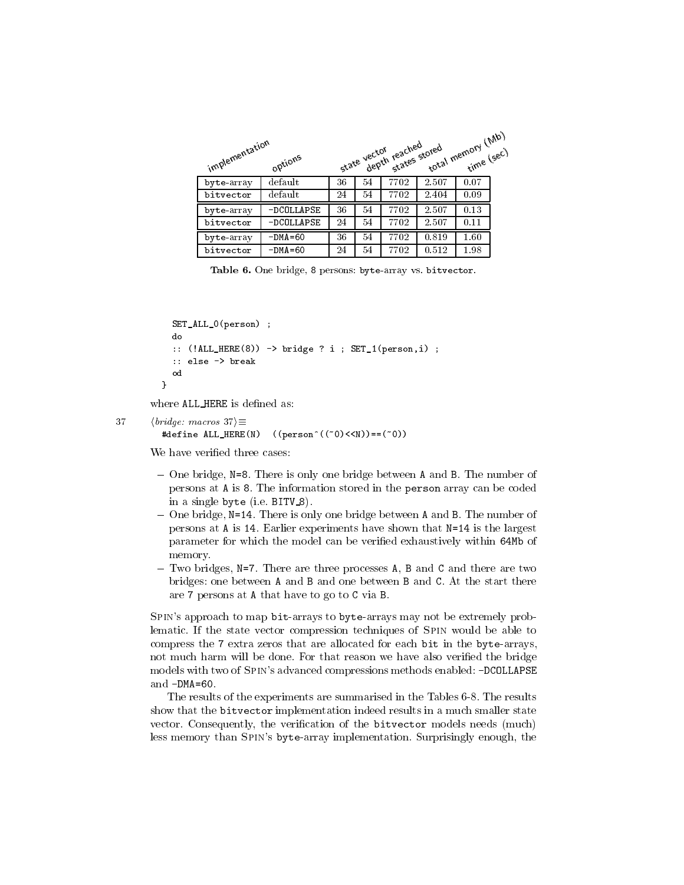| implementation |             |    |    |      | total memory (MD)<br>total memory (MD)<br>state vector reached<br>state vector reached<br>154 |      |
|----------------|-------------|----|----|------|-----------------------------------------------------------------------------------------------|------|
|                | options     |    |    |      |                                                                                               |      |
| byte-array     | default     | 36 | 54 | 7702 | 2.507                                                                                         | 0.07 |
| bitvector      | default     | 24 | 54 | 7702 | 2.404                                                                                         | 0.09 |
| byte-array     | -DCOLLAPSE  | 36 | 54 | 7702 | 2.507                                                                                         | 0.13 |
| bitvector      | -DCOLLAPSE  | 24 | 54 | 7702 | 2.507                                                                                         | 0.11 |
| byte-array     | $-DMA = 60$ | 36 | 54 | 7702 | 0.819                                                                                         | 1.60 |
| bitvector      | $-DMA = 60$ | 24 | 54 | 7702 | 0.512                                                                                         | 1.98 |

Table 6. One bridge, 8 persons: byte-array vs. bitvector.

```
SET_ALL_0(person) ;
do
:: (!ALL_HERE(8)) -> bridge ? i ; SET_1(person,i) ;
:: else -> break
od
```
where ALL\_HERE is defined as:

37  $\langle bridge: macros 37\rangle \equiv$ 

}

#define ALL\_HERE(N) ((person^((~0)<<N))==(~0))

We have verified three cases:

- { One bridge, N=8. There is only one bridge between A and B. The number of persons at A is8. The information stored in the person array can be coded in a single byte (i.e.  $BITV_8$ ).
- One bridge, N=14. There is only one bridge between A and B. The number of persons at A is 14. Earlier experiments have shown that N=14 is the largest parameter for which the model can be veried exhaustively within 64Mb of memory.
- ${\bf -T}$  wo bridges, N=7. There are three processes A, B and C and there are two bridges: one between A and B and one between B and C. At the start there are 7 persons at A that have to go to C via B.

Spin's approach to map bit-arrays to byte-arrays may not be extremely problematic. If the state vector compression techniques of Spin would be able to compress the 7 extra zeros that are allocated for each bit in the byte-arrays, not much harm will be done. For that reason we have also veried the bridge models with two of Spin's advanced compressions methods enabled: -DCOLLAPSE and -DMA=60.

The results of the experiments are summarised in the Tables 6-8. The results show that the bitvector implementation indeed results in a much smaller state vector. Consequently, the verification of the bitvector models needs (much) less memory than SPIN's byte-array implementation. Surprisingly enough, the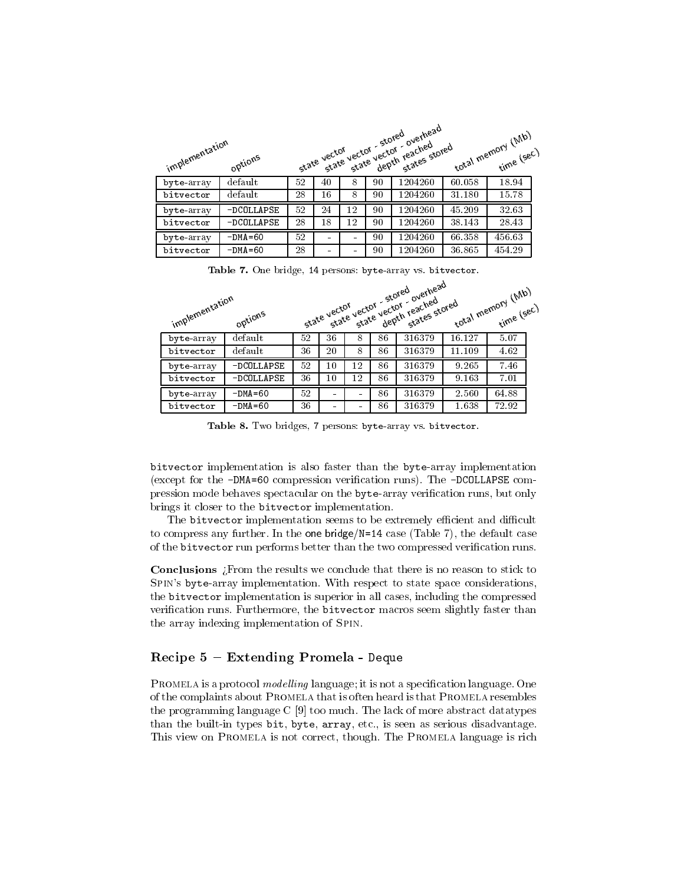| implementation | options        |    |                |                |    |         |        | total memory (Mb)<br>total memory (Mb) |
|----------------|----------------|----|----------------|----------------|----|---------|--------|----------------------------------------|
| byte-array     | default        |    |                |                |    |         |        | 18.94                                  |
| bitvector      | default        | 28 | 16             | 8              | 90 | 1204260 | 31.180 | 15.78                                  |
| byte-array     | $-$ DCOLL APSE | 52 | 24             | 12             | 90 | 1204260 | 45.209 | 32.63                                  |
| bitvector      | -DCOLLAPSE     | 28 | 18             | 12             | 90 | 1204260 | 38.143 | 28.43                                  |
| byte-array     | $-DMA = 60$    | 52 | $\blacksquare$ | $\blacksquare$ | 90 | 1204260 | 66.358 | 456.63                                 |
| bitvector      | $-DMA = 60$    | 28 | $\blacksquare$ | ÷              | 90 | 1204260 | 36.865 | 454.29                                 |

Table 7. One bridge, 14 persons: byte-array vs. bitvector.

|                |                          |    |                          |    |    | state yeddy yedigi y storeg overhead<br>state yedigi yedigi yedigi yeached<br>and state state denth states stored | total memory (Mb)<br>total memory (Mb) |       |
|----------------|--------------------------|----|--------------------------|----|----|-------------------------------------------------------------------------------------------------------------------|----------------------------------------|-------|
| implementation | options                  |    |                          |    |    |                                                                                                                   |                                        |       |
| byte-array     | default                  |    |                          |    |    |                                                                                                                   |                                        | 5.07  |
| bitvector      | $\operatorname{default}$ | 36 | 20                       | 8  | 86 | 316379                                                                                                            | 11.109                                 | 4.62  |
| byte-array     | -DCOLLAPSE               | 52 | 10                       | 12 | 86 | 316379                                                                                                            | 9.265                                  | 7.46  |
| bitvector      | -DCOLLAPSE               | 36 | 10                       | 12 | 86 | 316379                                                                                                            | 9.163                                  | 7.01  |
| byte-array     | $-DMA=60$                | 52 | $\blacksquare$           |    | 86 | 316379                                                                                                            | 2.560                                  | 64.88 |
| bitvector      | $-DMA=60$                | 36 | $\overline{\phantom{0}}$ |    | 86 | 316379                                                                                                            | 1.638                                  | 72.92 |

Table 8. Two bridges, 7 persons: byte-array vs. bitvector.

bitvector implementation is also faster than the byte-array implementation (except for the -DMA=60 compression verication runs). The -DCOLLAPSE compression mode behaves spectacular on the byte-array verification runs, but only brings it closer to the bitvector implementation.

The bitvector implementation seems to be extremely efficient and difficult to compress any further. In the one bridge/N=14 case (Table 7), the default case of the bitvector run performs better than the two compressed verification runs.

**Conclusions**  $\chi$  From the results we conclude that there is no reason to stick to Spin's byte-array implementation. With respect to state space considerations, the bitvector implementation is superior in all cases, including the compressed verification runs. Furthermore, the bitvector macros seem slightly faster than the array indexing implementation of Spin.

# Recipe  $5 -$  Extending Promela - Deque

PROMELA is a protocol *modelling* language; it is not a specification language. One of the complaints about PROMELA that is often heard is that PROMELA resembles the programming language C [9] too much. The lack of more abstract datatypes than the built-in types bit, byte, array, etc., is seen as serious disadvantage. This view on PROMELA is not correct, though. The PROMELA language is rich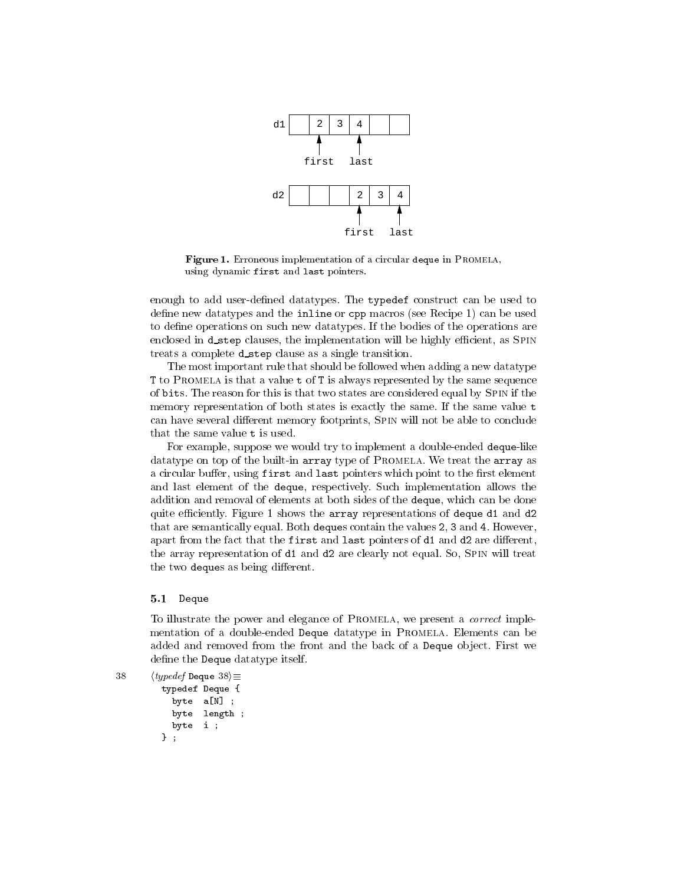

Figure 1. Erroneous implementation of a circular deque in Promela, using dynamic first and last pointers.

enough to add user-defined datatypes. The typedef construct can be used to define new datatypes and the inline or cpp macros (see Recipe 1) can be used to define operations on such new datatypes. If the bodies of the operations are enclosed in d\_step clauses, the implementation will be highly efficient, as SPIN treats a complete **d\_step** clause as a single transition.

The most important rule that should be followed when adding a new datatype T to Promela is that a value t of T is always represented by the same sequence of bits. The reason for this is that two states are considered equal by Spin if the memory representation of both states is exactly the same. If the same value t can have several different memory footprints, SPIN will not be able to conclude that the same value t is used.

For example, suppose we would try to implement a double-ended deque-like datatype on top of the built-in array type of PROMELA. We treat the array as a circular buffer, using first and last pointers which point to the first element and last element of the deque, respectively. Such implementation allows the addition and removal of elements at both sides of the deque, which can be done quite efficiently. Figure 1 shows the array representations of deque d1 and d2 that are semantically equal. Both deques contain the values 2, 3 and 4. However, apart from the fact that the first and last pointers of d1 and d2 are different, the array representation of d1 and d2 are clearly not equal. So, Spin will treat the two deques as being different.

### 5.1 Deque

To illustrate the power and elegance of PROMELA, we present a *correct* implementation of a double-ended Deque datatype in PROMELA. Elements can be added and removed from the front and the back of a Deque object. First we define the Deque datatype itself.

38  $\langle \text{typedef}\space \texttt{Deque}\space 38 \rangle \equiv$ typedef Deque { byte a[N] ; byte length ; byte i ; } ;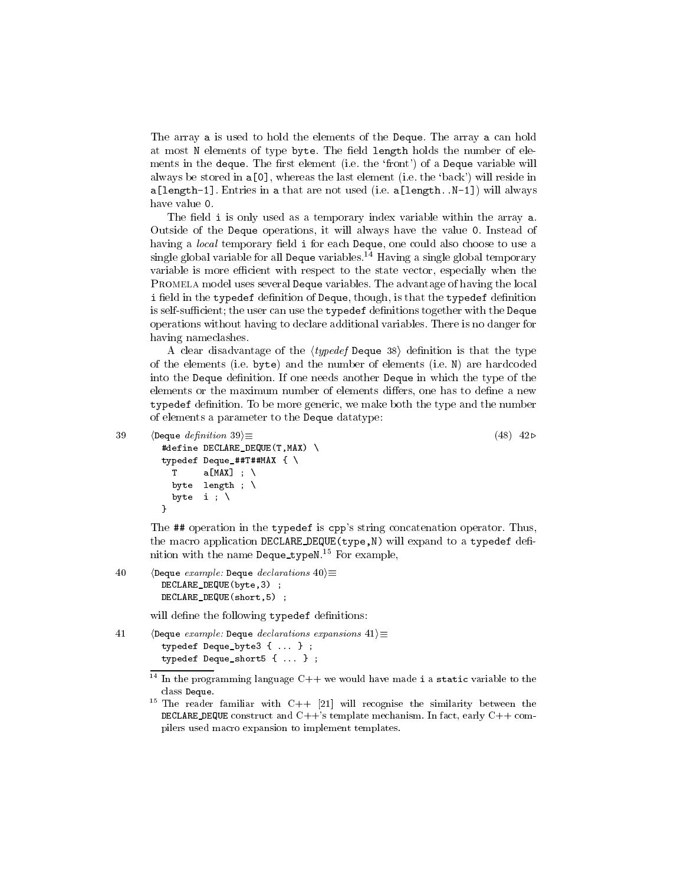The array a is used to hold the elements of the Deque. The array a can hold at most N elements of type byte. The field length holds the number of elements in the deque. The first element (i.e. the 'front') of a Deque variable will always be stored in a[0], whereas the last element (i.e. the `back') will reside in a[length-1]. Entries in a that are not used (i.e. a[length..N-1]) will always have value 0.

The field i is only used as a temporary index variable within the array a. Outside of the Deque operations, it will always have the value 0. Instead of having a *local* temporary field i for each Deque, one could also choose to use a single global variable for all Deque variables.<sup>14</sup> Having a single global temporary variable is more efficient with respect to the state vector, especially when the Promela model uses several Deque variables. The advantage of having the local i field in the typedef definition of Deque, though, is that the typedef definition is self-sufficient; the user can use the typedef definitions together with the Deque operations without having to declare additional variables. There is no danger for having nameclashes.

A clear disadvantage of the  $\langle \text{typedef} \rangle$  Deque 38) definition is that the type of the elements (i.e. byte) and the number of elements (i.e. N) are hardcoded into the Deque definition. If one needs another Deque in which the type of the elements or the maximum number of elements differs, one has to define a new typedef definition. To be more generic, we make both the type and the number of elements a parameter to the Deque datatype:

 $\mathcal{P}$ 

```
39 		\DeltaDeque definition 39) \equiv (48) 42 \triangleright#define DECLARE_DEQUE(T,MAX) \
       typedef Deque_##T##MAX { \
              a[MAX] ; \
         byte length ; \
```
The ## operation in the typedef is cpp's string concatenation operator. Thus, the macro application DECLARE DEQUE (type, N) will expand to a typedef definition with the name Deque typeN.15 For example,

40 (Deque  $example: \texttt{Deque}$  declarations  $40\rangle \equiv$ DECLARE\_DEQUE(byte,3) ; DECLARE\_DEQUE(short,5) ;

byte  $i : \n\lambda$ 

}

Т

will define the following typedef definitions:

```
41 (Deque example: Deque declarations expansions 41\rangle \equivtypedef Deque_byte3 { ... } ;
         typedef Deque_short5 { ... } ;
```
In the programming language C++ we would have made  $\mathtt i$  a static variable to the class Deque.

 $\overline{\phantom{a}}$  The reader familiar with C++ [21] will recognise the similarity between the DECLARE DEQUE construct and  $C++$ 's template mechanism. In fact, early  $C++$  compilers used macro expansion to implement templates.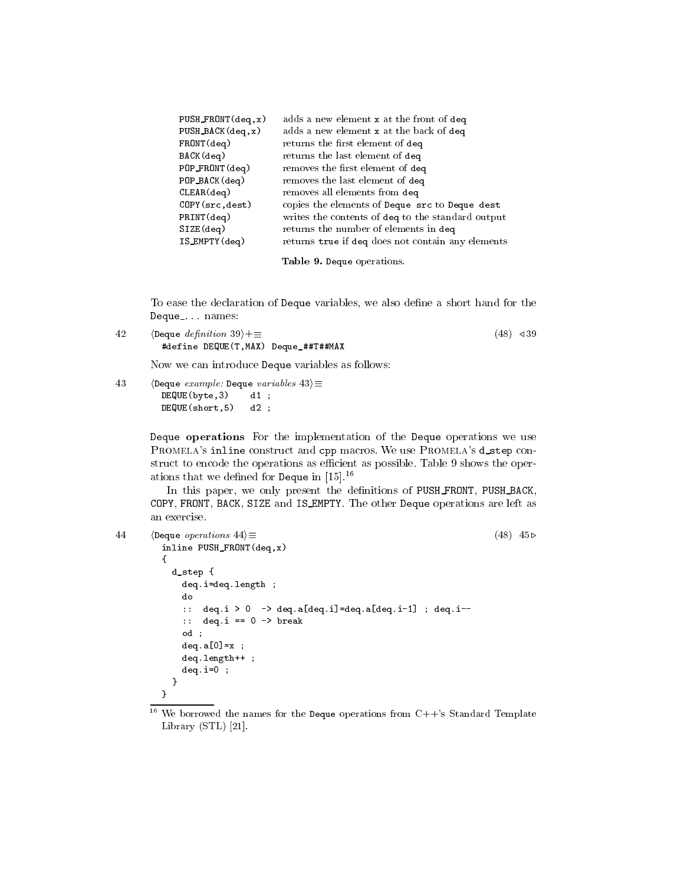| $PUSH_FRONT(deq, x)$ | adds a new element x at the front of deq          |
|----------------------|---------------------------------------------------|
| PUSH_BACK(deq,x)     | adds a new element x at the back of deq           |
| FRONT(deq)           | returns the first element of deq                  |
| BACK (deg)           | returns the last element of deq                   |
| POP_FRONT(deq)       | removes the first element of deq                  |
| POP_BACK(deq)        | removes the last element of deq                   |
| CLEAR(deq)           | removes all elements from deq                     |
| $COPY$ (src, dest)   | copies the elements of Deque src to Deque dest    |
| PRINT(deq)           | writes the contents of deg to the standard output |
| SIZE(deq)            | returns the number of elements in deq             |
| $IS\_EMPTY(deq)$     | returns true if deq does not contain any elements |
|                      |                                                   |

Table 9. Deque operations.

To ease the declaration of Deque variables, we also define a short hand for the Deque ... names:

| 42 | $\langle$ Deque $\; definition \; 39 \rangle + \equiv 1$ | $(48)$ $\triangleleft$ 39 |  |
|----|----------------------------------------------------------|---------------------------|--|
|    | #define DEQUE(T,MAX) Deque_##T##MAX                      |                           |  |

Now we can introduce Deque variables as follows:

43 (Deque example: Deque variables  $43 \equiv$ DEQUE(byte,3) d1 ; DEQUE(short,5) d2 ;

> Deque operations For the implementation of the Deque operations we use PROMELA's inline construct and cpp macros. We use PROMELA's d\_step construct to encode the operations as efficient as possible. Table 9 shows the operations that we defined for Deque in  $[15]$ .<sup>16</sup>

> In this paper, we only present the definitions of PUSH\_FRONT, PUSH\_BACK, COPY, FRONT, BACK, SIZE and IS EMPTY. The other Deque operations are left as an exercise.

```
44 (Deque operations 44\rangle \equiv (48) 45\rhdinline PUSH_FRONT(deq,x)
        {
          d_step {
            deq.i=deq.length ;
            do
            :: \text{deg.i} > 0 \rightarrow \text{deg.a[deg.i]=deg.a[deg.i-1]} ; \text{deg.i--}:: deq.i == 0 -> break
            od ;
            deq.a[0]=x ;
            deq.length++ ;
            deq.i=0 ;
          }
        }
```
<sup>16</sup> We borrowed the names for the Deque operations from  $C++$ 's Standard Template Library (STL) [21].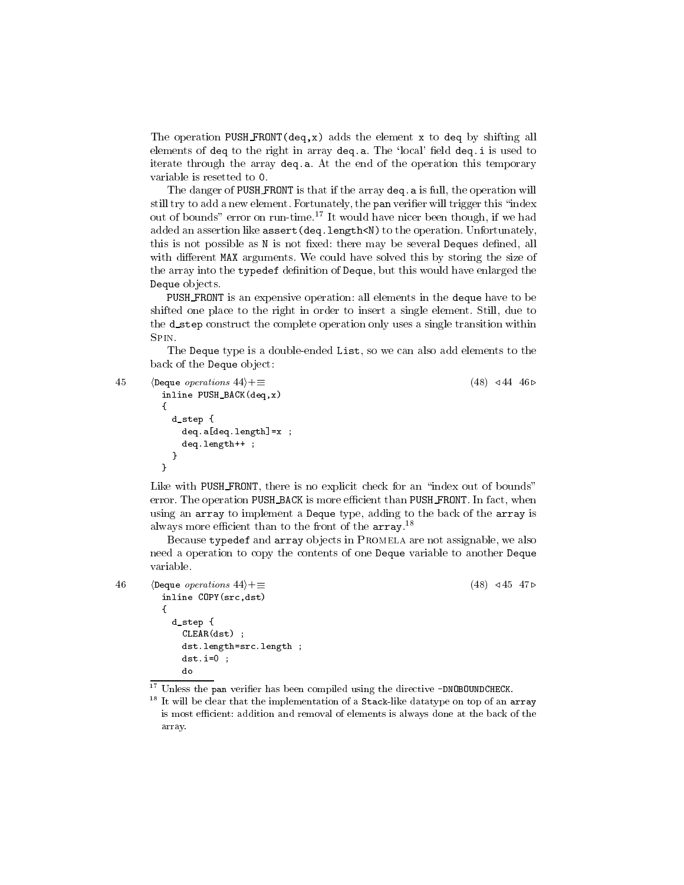The operation PUSH\_FRONT(deq,x) adds the element x to deq by shifting all elements of deq to the right in array deq.a. The 'local' field deq.i is used to iterate through the array deq.a. At the end of the operation this temporary variable is resetted to 0.

The danger of PUSH\_FRONT is that if the array deq.a is full, the operation will still try to add a new element. Fortunately, the pan verifier will trigger this "index out of bounds" error on run-time.17 It would have nicer been though, if we had added an assertion like assert (deq. length<N) to the operation. Unfortunately, this is not possible as N is not fixed: there may be several Deques defined, all with different MAX arguments. We could have solved this by storing the size of the array into the typedef definition of Deque, but this would have enlarged the Deque ob jects.

PUSH FRONT is an expensive operation: all elements in the deque have to be shifted one place to the right in order to insert a single element. Still, due to the d\_step construct the complete operation only uses a single transition within Spin.

The Deque type is a double-ended List, so we can also add elements to the back of the Deque ob ject:

```
45 		 (Deque operations 44) + \equiv (48) \triangleleft 44 46 \trianglerightinline PUSH_BACK(deq,x)
                   {\color{blue} \bullet} . The contract of the contract of the contract of the contract of the contract of the contract of the contract of the contract of the contract of the contract of the contract of the contract of the contract of 
                       d_step {
                           deq.a[deq.length]=x ;
                            deq.length++ ;
                        }
                   }
```
Like with PUSH\_FRONT, there is no explicit check for an "index out of bounds" error. The operation PUSH\_BACK is more efficient than PUSH\_FRONT. In fact, when using an array to implement a Deque type, adding to the back of the array is always more efficient than to the front of the  $array.18$ 

Because typedef and array objects in PROMELA are not assignable, we also need a operation to copy the contents of one Deque variable to another Deque variable.

| 46 | (Deque <i>operations</i> $44\rangle + \equiv$ | (48) | $\triangleleft 45$ $47 \triangleright$ |  |
|----|-----------------------------------------------|------|----------------------------------------|--|
|    | inline COPY (src, dst)                        |      |                                        |  |
|    |                                               |      |                                        |  |
|    | d_step {                                      |      |                                        |  |
|    | $CLEAR(ds)$ :                                 |      |                                        |  |
|    | dst.length=src.length ;                       |      |                                        |  |
|    | $dst.i=0$ :                                   |      |                                        |  |
|    | do                                            |      |                                        |  |
|    |                                               |      |                                        |  |

<sup>17</sup> Unless the pan verier has been compiled using the directive -DNOBOUNDCHECK.

 $\tilde{\ }$  it will be clear that the implementation of a Stack-like datatype on top of an array is most efficient: addition and removal of elements is always done at the back of the array.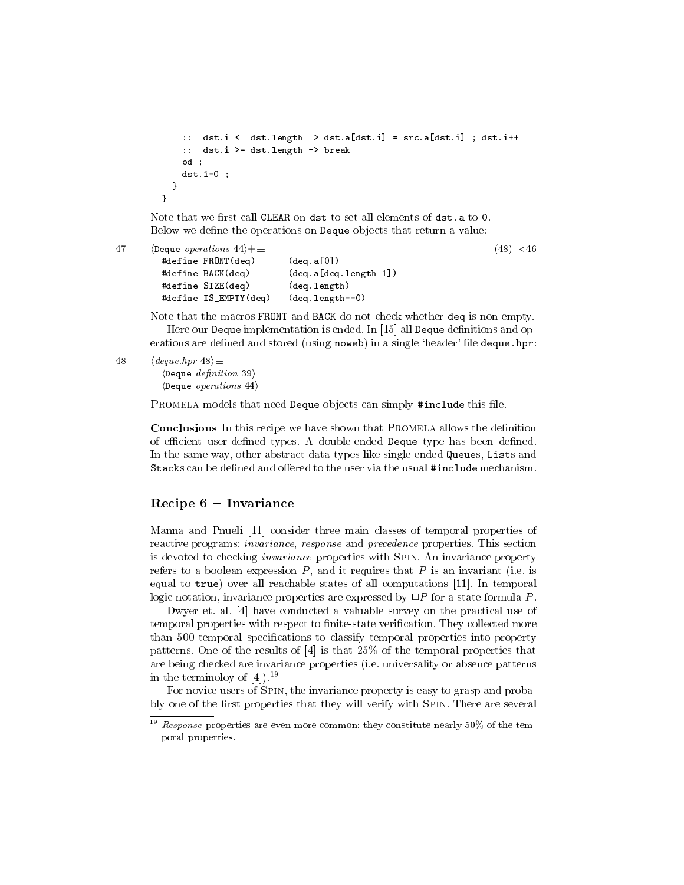```
:: dst.i \leq dist.length \rightarrow dist.a[dst.i] = src.a[dst.i]; dst.i++:: dst.i >= dst.length -> break
   od ;
   dst.i=0 ;
  }
}
```
Note that we first call CLEAR on dst to set all elements of dst.a to 0. Below we define the operations on Deque objects that return a value:

```
47 (Deque operations 44\rangle + \equiv (48) \triangleleft 46#define FRONT(deq) (deq.a[0])
       #define BACK(deq) (deq.a[deq.length-1])
       #define SIZE(deq) (deq.length)
       #define IS_EMPTY(deq) (deq.length==0)
```
Note that the macros FRONT and BACK do not check whether deq is non-empty. Here our Deque implementation is ended. In  $[15]$  all Deque definitions and operations are defined and stored (using noweb) in a single 'header' file deque.hpr:

48  $\langle \text{degree.hpr 48} \rangle \equiv$ 

 $\langle$ Deque *definition* 39) (Deque operations 44)

PROMELA models that need Deque objects can simply #include this file.

Conclusions In this recipe we have shown that PROMELA allows the definition of efficient user-defined types. A double-ended Deque type has been defined. In the same way, other abstract data types like single-ended Queues, Lists and Stacks can be defined and offered to the user via the usual #include mechanism.

# Recipe  $6$  – Invariance

Manna and Pnueli [11] consider three main classes of temporal properties of reactive programs: *invariance*, *response* and *precedence* properties. This section is devoted to checking *invariance* properties with SPIN. An invariance property refers to a boolean expression  $P$ , and it requires that  $P$  is an invariant (i.e. is equal to true) over all reachable states of all computations [11]. In temporal logic notation, invariance properties are expressed by  $\Box P$  for a state formula P.

Dwyer et. al. [4] have conducted a valuable survey on the practical use of temporal properties with respect to finite-state verification. They collected more than 500 temporal specications to classify temporal properties into property patterns. One of the results of [4] is that 25% of the temporal properties that are being checked are invariance properties (i.e. universality or absence patterns in the terminoloy of  $[4]$ ).<sup>19</sup>

For novice users of Spin, the invariance property is easy to grasp and probably one of the first properties that they will verify with SPIN. There are several

 $1000$  Response properties are even more common: they constitute nearly 50% of the temporal properties.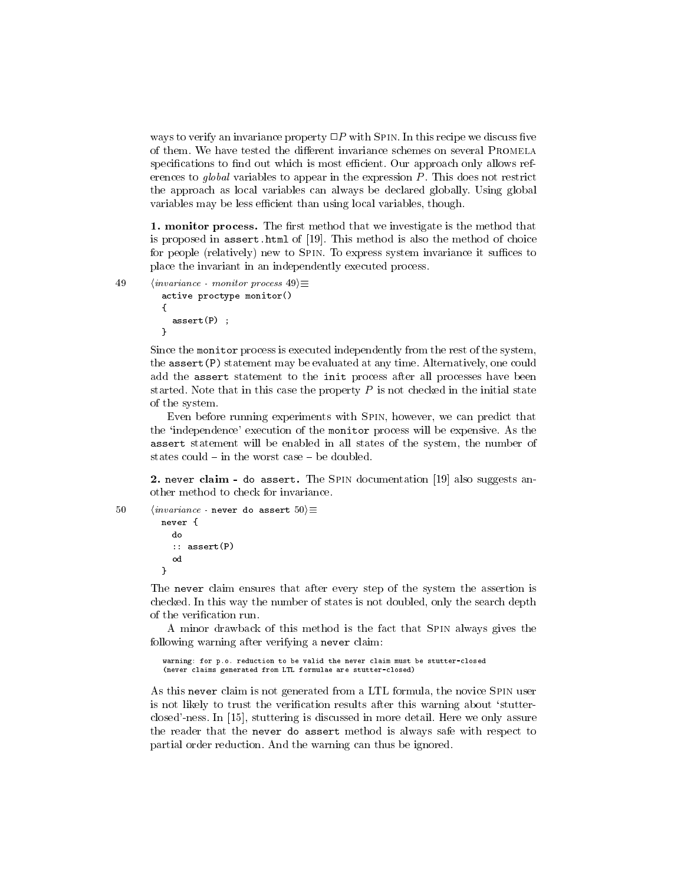ways to verify an invariance property  $\Box P$  with SPIN. In this recipe we discuss five of them. We have tested the different invariance schemes on several PROMELA specifications to find out which is most efficient. Our approach only allows references to global variables to appear in the expression  $P$ . This does not restrict the approach as local variables can always be declared globally. Using global variables may be less efficient than using local variables, though.

1. monitor process. The first method that we investigate is the method that is proposed in assert.html of [19]. This method is also the method of choice for people (relatively) new to SPIN. To express system invariance it suffices to place the invariant in an independently executed process.

49

```
\langle invariance - monitor process 49 \rangle \equivactive proctype monitor()
         \mathbf{f}{\color{red} \bullet} . The contract of the contract of the contract of the contract of the contract of the contract of the contract of the contract of the contract of the contract of the contract of the contract of the contract of 
                  assert(P) ;
```
}

Since the monitor process is executed independently from the rest of the system, the assert(P) statement may be evaluated at any time. Alternatively, one could add the assert statement to the init process after all processes have been started. Note that in this case the property  $P$  is not checked in the initial state of the system.

Even before running experiments with Spin, however, we can predict that the `independence' execution of the monitor process will be expensive. As the assert statement will be enabled in all states of the system, the number of states could  ${\rm -}$  in the worst case  ${\rm -}$  be doubled.

2. never claim - do assert. The Spin documentation [19] also suggests another method to check for invariance.

50

```
\langle invariance - never do assert 50\rangle \equivnever {
     do
      :: assert(P)
     o d
```
}

The never claim ensures that after every step of the system the assertion is checked. In this way the number of states is not doubled, only the search depth of the verication run.

A minor drawback of this method isthe fact that Spin always gives the following warning after verifying a never claim:

```
warning: for p.o. reduction to be valid the never claim must be stutter-closed(never claims generated from LTL formulae are stutter-closed)
```
As this never claim is not generated from a LTL formula, the novice Spin user is not likely to trust the verification results after this warning about 'stutterclosed'-ness. In [15], stuttering is discussed in more detail. Here we only assure the reader that the never do assert method is always safe with respect to partial order reduction. And the warning can thus be ignored.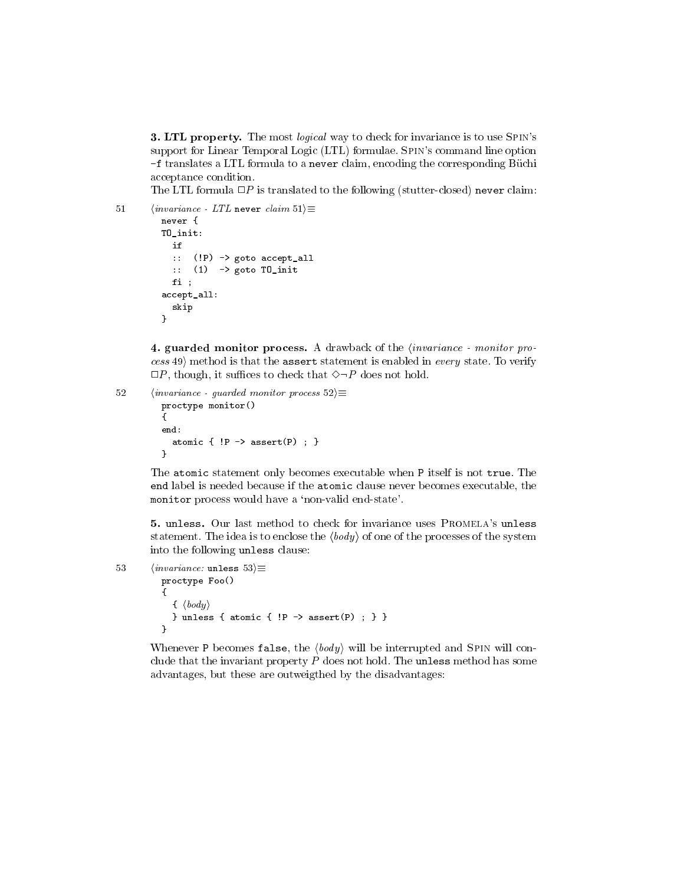3. LTL property. The most *logical* way to check for invariance is to use SPIN's support for Linear Temporal Logic (LTL) formulae. Spin's command line option -f translates a LTL formula to a never claim, encoding the corresponding Buchi acceptance condition.

The LTL formula  $\Box P$  is translated to the following (stutter-closed) never claim:

51 (*invariance* - LTL never *claim*  $51 \equiv$ 

}

```
never {
TO_init:
  :: (!P) -> goto accept_all
  :: (1) -> goto TO_init
  fi ;
accept_all:
  skip
```
4. guarded monitor process. A drawback of the *(invariance - monitor pro-* $\cos s$  49) method is that the assert statement is enabled in every state. To verify  $\Box P$ , though, it suffices to check that  $\Diamond \neg P$  does not hold.

```
52 (invariance - guarded monitor process 52\rangle \equivproctype monitor()
           {
           end:
              atomic \{ \} \mathsf{P} \rightarrow assert(\mathsf{P}) ; \}λ
            }
```
The atomic statement only becomes executable when P itself is not true. The end label is needed because if the atomic clause never becomes executable, the monitor process would have a 'non-valid end-state'.

5. unless. Our last method to check for invariance uses Promela's unless statement. The idea is to enclose the  $\langle body \rangle$  of one of the processes of the system into the following unless clause:

53  $\langle invariance: \texttt{unless} 53 \rangle \equiv$ proctype Foo() {  $\{ \; \langle \; body \rangle \}$ } unless { atomic { !P -> assert(P) ; } }

}

Whenever P becomes false, the  $\langle body \rangle$  will be interrupted and SPIN will conclude that the invariant property  $P$  does not hold. The unless method has some advantages, but these are outweigthed by the disadvantages: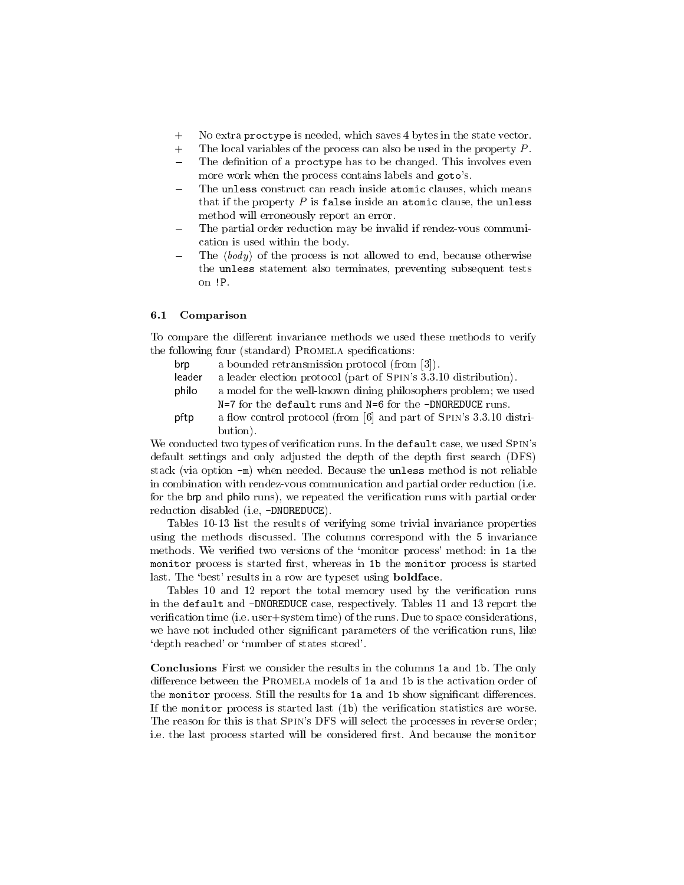- + No extra proctype is needed, which saves 4 bytes in the state vector.
- $+$  The local variables of the process can also be used in the property P.
- The definition of a proctype has to be changed. This involves even more work when the process contains labels and goto's.
- The unless construct can reach inside atomic clauses, which means that if the property  $P$  is false inside an atomic clause, the unless method will erroneously report an error.
- The partial order reduction may be invalid if rendez-vous communication is used within the body.
- The  $\langle body \rangle$  of the process is not allowed to end, because otherwise the unless statement also terminates, preventing subsequent tests on !P.

### 6.1 Comparison

To compare the different invariance methods we used these methods to verify the following four (standard) PROMELA specifications:

- brpa bounded retransmission protocol (from [3]).
- leader a leader election protocol (part of Spin's 3.3.10 distribution).
- philo a model for the well-known dining philosophers problem; we used N=7 for the default runs and N=6 for the -DNOREDUCE runs.
- pftpa flow control protocol (from [6] and part of SPIN's 3.3.10 distribution).

We conducted two types of verification runs. In the default case, we used SPIN's default settings and only adjusted the depth of the depth first search (DFS) stack (via option -m) when needed. Because the unless method is not reliable in combination with rendez-vous communication and partial order reduction (i.e. for the brp and philo runs), we repeated the verification runs with partial order reduction disabled (i.e, -DNOREDUCE).

Tables 10-13 list the results of verifying some trivial invariance properties using the methods discussed. The columns correspond with the 5 invariance methods. We verified two versions of the 'monitor process' method: in 1a the monitor process is started first, whereas in 1b the monitor process is started last. The 'best' results in a row are typeset using **boldface**.

Tables 10 and 12 report the total memory used by the verification runs in the default and -DNOREDUCE case, respectively. Tables 11 and 13 report the verification time (i.e. user $+$ system time) of the runs. Due to space considerations, we have not included other significant parameters of the verification runs, like `depth reached' or `number of states stored'.

Conclusions First we consider the results in the columns 1a and 1b. The only difference between the PROMELA models of 1a and 1b is the activation order of the monitor process. Still the results for 1a and 1b show significant differences. If the monitor process is started last  $(1b)$  the verification statistics are worse. The reason for this is that Spin's DFS will select the processes in reverse order; i.e. the last process started will be considered first. And because the monitor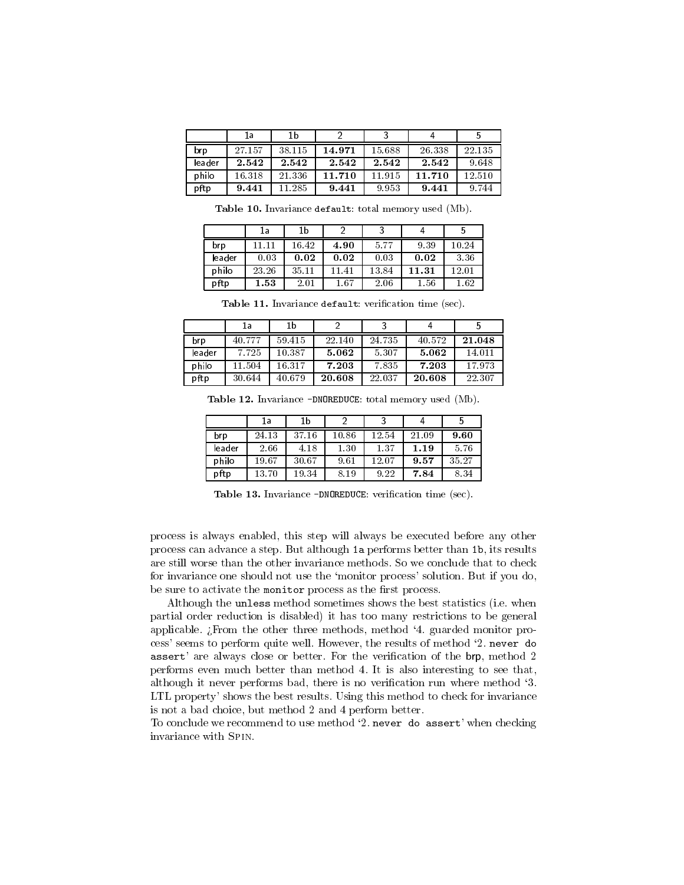|        | 1a     | 1b     |        |        |        |        |
|--------|--------|--------|--------|--------|--------|--------|
| brp    | 27.157 | 38.115 | 14.971 | 15.688 | 26.338 | 22.135 |
| leader | 2.542  | 2.542  | 2.542  | 2.542  | 2.542  | 9.648  |
| philo  | 16.318 | 21.336 | 11.710 | 11.915 | 11.710 | 12.510 |
| pftp   | 9.441  | 11.285 | 9.441  | 9.953  | 9.441  | 9.744  |

Table 10. Invariance default: total memory used (Mb).

|        | la    | 1b    |      |       |          |           |
|--------|-------|-------|------|-------|----------|-----------|
| brp    |       | 16.42 | 4.90 | 5.77  | 9.39     | 10.24     |
| leader | 0.03  | 0.02  | 0.02 | 0.03  | 0.02     | 3.36      |
| philo  | 23.26 | 35.11 | 1.41 | 13.84 | 11.31    | $12.01\,$ |
| pftp   | 1.53  | 2.01  | 1.67 | 2.06  | $1.56\,$ | $1.62\,$  |

|  |  |  |  |  | <b>Table 11.</b> Invariance default: verification time (sec). |  |  |  |
|--|--|--|--|--|---------------------------------------------------------------|--|--|--|
|--|--|--|--|--|---------------------------------------------------------------|--|--|--|

|        | 1a     | 1 <sub>b</sub> |        |        |        |        |
|--------|--------|----------------|--------|--------|--------|--------|
| brp    | 40.777 | 59.415         | 22.140 | 24.735 | 40.572 | 21.048 |
| leader | 7.725  | 10.387         | 5.062  | 5.307  | 5.062  | 14.011 |
| philo  | 11.504 | 16.317         | 7.203  | 7.835  | 7.203  | 17.973 |
| pftp   | 30.644 | 40.679         | 20.608 | 22.037 | 20.608 | 22.307 |

Table 12. Invariance -DNOREDUCE: total memory used (Mb).

|        | 1a    | 1b    |       |       | 4     |       |
|--------|-------|-------|-------|-------|-------|-------|
| brp    | 24.13 | 37.16 | 10.86 | 12.54 | 21.09 | 9.60  |
| leader | 2.66  | 4.18  | 1.30  | 1.37  | 1.19  | 5.76  |
| philo  | 19.67 | 30.67 | 9.61  | 12.07 | 9.57  | 35.27 |
| pftp   | 13.70 | 19.34 | 8.19  | 9.22  | 7.84  | 8.34  |

Table 13. Invariance -DNOREDUCE: verification time (sec).

process is always enabled, this step will always be executed before any other process can advance a step. But although 1a performs better than 1b, its results are still worse than the other invariance methods. So we conclude that to check for invariance one should not use the `monitor process' solution. But if you do, be sure to activate the monitor process as the first process.

Although the unless method sometimes shows the best statistics (i.e. when partial order reduction is disabled) it has too many restrictions to be general applicable.  $\chi$  From the other three methods, method '4. guarded monitor process' seems to perform quite well. However, the results of method `2. never do assert' are always close or better. For the verification of the brp, method 2 performs even much better than method 4. It is also interesting to see that, although it never performs bad, there is no verication run where method `3. LTL property' shows the best results. Using this method to check for invariance is not a bad choice, but method 2 and 4 perform better.

To conclude we recommend to use method `2. never do assert' when checking invariance with Spin.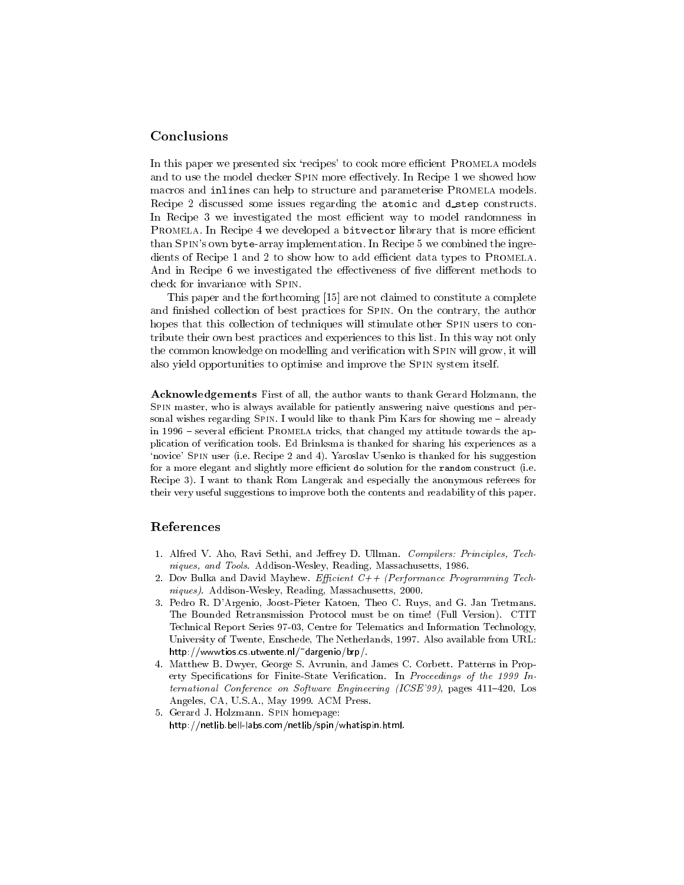## Conclusions

In this paper we presented six 'recipes' to cook more efficient PROMELA models and to use the model checker SPIN more effectively. In Recipe 1 we showed how macros and inlines can help to structure and parameterise PROMELA models. Recipe 2 discussed some issues regarding the atomic and d\_step constructs. In Recipe 3 we investigated the most efficient way to model randomness in PROMELA. In Recipe 4 we developed a bitvector library that is more efficient than Spin's own byte-array implementation. In Recipe 5 we combined the ingredients of Recipe 1 and 2 to show how to add efficient data types to PROMELA. And in Recipe 6 we investigated the effectiveness of five different methods to check for invariance with Spin.

This paper and the forthcoming [15] are not claimed to constitute a complete and finished collection of best practices for SPIN. On the contrary, the author hopes that this collection of techniques will stimulate other SPIN users to contribute their own best practices and experiences to this list. In this way not only the common knowledge on modelling and verification with SPIN will grow, it will also yield opportunities to optimise and improve the Spin system itself.

Acknowledgements First of all, the author wants to thank Gerard Holzmann, the Spin master, who is always available for patiently answering naive questions and personal wishes regarding SPIN. I would like to thank Pim Kars for showing me - already in 1996 - several efficient PROMELA tricks, that changed my attitude towards the application of verication tools. Ed Brinksma is thanked for sharing his experiences as a `novice' Spin user (i.e. Recipe 2 and 4). Yaroslav Usenko is thanked for his suggestion for a more elegant and slightly more efficient do solution for the random construct (i.e. Recipe 3). I want to thank Rom Langerak and especially the anonymous referees for their very useful suggestions to improve both the contents and readability of this paper.

## References

- 1. Alfred V. Aho, Ravi Sethi, and Jeffrey D. Ullman. Compilers: Principles, Techniques, and Tools. Addison-Wesley, Reading, Massachusetts, 1986.
- 2. Dov Bulka and David Mayhew. Efficient  $C++$  (Performance Programming Techniques). Addison-Wesley, Reading, Massachusetts, 2000.
- 3. Pedro R. D'Argenio, Joost-Pieter Katoen, Theo C. Ruys, and G. Jan Tretmans. The Bounded Retransmission Protocol must be on time! (Full Version). CTIT Technical Report Series 97-03, Centre for Telematics and Information Technology, University of Twente, Enschede, The Netherlands, 1997. Also available from URL: http://wwwtios.cs.utwente.nl/~dargenio/brp/.
- 4. Matthew B. Dwyer, George S. Avrunin, and James C. Corbett. Patterns in Property Specifications for Finite-State Verification. In Proceedings of the 1999 International Conference on Software Engineering (ICSE'99), pages 411-420, Los Angeles, CA, U.S.A., May 1999. ACM Press.
- 5. Gerard J. Holzmann. Spin homepage: http://netlib.bell-labs.com/netlib/spin/whatispin.html.